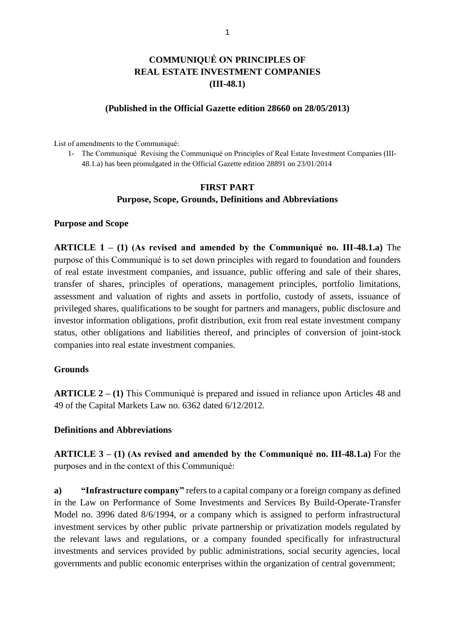# **COMMUNIQUÉ ON PRINCIPLES OF REAL ESTATE INVESTMENT COMPANIES (III-48.1)**

#### **(Published in the Official Gazette edition 28660 on 28/05/2013)**

List of amendments to the Communiqué:

1- The Communiqué Revising the Communiqué on Principles of Real Estate Investment Companies (III-48.1.a) has been promulgated in the Official Gazette edition 28891 on 23/01/2014

#### **FIRST PART Purpose, Scope, Grounds, Definitions and Abbreviations**

#### **Purpose and Scope**

**ARTICLE 1 – (1) (As revised and amended by the Communiqué no. III-48.1.a)** The purpose of this Communiqué is to set down principles with regard to foundation and founders of real estate investment companies, and issuance, public offering and sale of their shares, transfer of shares, principles of operations, management principles, portfolio limitations, assessment and valuation of rights and assets in portfolio, custody of assets, issuance of privileged shares, qualifications to be sought for partners and managers, public disclosure and investor information obligations, profit distribution, exit from real estate investment company status, other obligations and liabilities thereof, and principles of conversion of joint-stock companies into real estate investment companies.

#### **Grounds**

**ARTICLE 2 – (1)** This Communiqué is prepared and issued in reliance upon Articles 48 and 49 of the Capital Markets Law no. 6362 dated 6/12/2012.

#### **Definitions and Abbreviations**

**ARTICLE 3 – (1) (As revised and amended by the Communiqué no. III-48.1.a)** For the purposes and in the context of this Communiqué:

**a) "Infrastructure company"** refers to a capital company or a foreign company as defined in the Law on Performance of Some Investments and Services By Build-Operate-Transfer Model no. 3996 dated 8/6/1994, or a company which is assigned to perform infrastructural investment services by other public private partnership or privatization models regulated by the relevant laws and regulations, or a company founded specifically for infrastructural investments and services provided by public administrations, social security agencies, local governments and public economic enterprises within the organization of central government;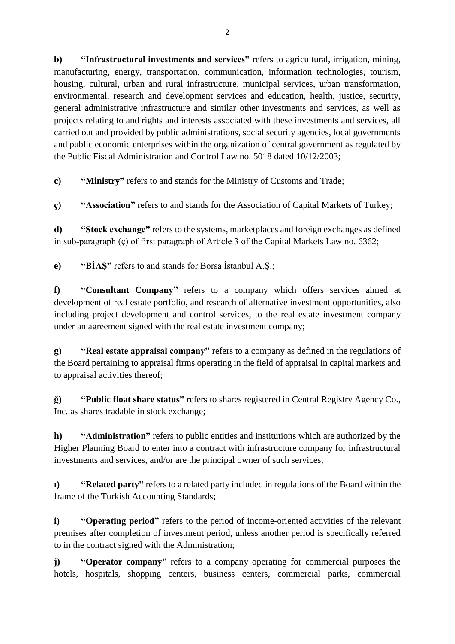**b) "Infrastructural investments and services"** refers to agricultural, irrigation, mining, manufacturing, energy, transportation, communication, information technologies, tourism, housing, cultural, urban and rural infrastructure, municipal services, urban transformation, environmental, research and development services and education, health, justice, security, general administrative infrastructure and similar other investments and services, as well as projects relating to and rights and interests associated with these investments and services, all carried out and provided by public administrations, social security agencies, local governments and public economic enterprises within the organization of central government as regulated by the Public Fiscal Administration and Control Law no. 5018 dated 10/12/2003;

**c) "Ministry"** refers to and stands for the Ministry of Customs and Trade;

**ç) "Association"** refers to and stands for the Association of Capital Markets of Turkey;

**d) "Stock exchange"** refers to the systems, marketplaces and foreign exchanges as defined in sub-paragraph (ç) of first paragraph of Article 3 of the Capital Markets Law no. 6362;

**e) "BİAŞ"** refers to and stands for Borsa İstanbul A.Ş.;

**f) "Consultant Company"** refers to a company which offers services aimed at development of real estate portfolio, and research of alternative investment opportunities, also including project development and control services, to the real estate investment company under an agreement signed with the real estate investment company;

**g) "Real estate appraisal company"** refers to a company as defined in the regulations of the Board pertaining to appraisal firms operating in the field of appraisal in capital markets and to appraisal activities thereof;

**ğ) "Public float share status"** refers to shares registered in Central Registry Agency Co., Inc. as shares tradable in stock exchange;

**h) "Administration"** refers to public entities and institutions which are authorized by the Higher Planning Board to enter into a contract with infrastructure company for infrastructural investments and services, and/or are the principal owner of such services;

**ı) "Related party"** refers to a related party included in regulations of the Board within the frame of the Turkish Accounting Standards;

**i) "Operating period"** refers to the period of income-oriented activities of the relevant premises after completion of investment period, unless another period is specifically referred to in the contract signed with the Administration;

**j) "Operator company"** refers to a company operating for commercial purposes the hotels, hospitals, shopping centers, business centers, commercial parks, commercial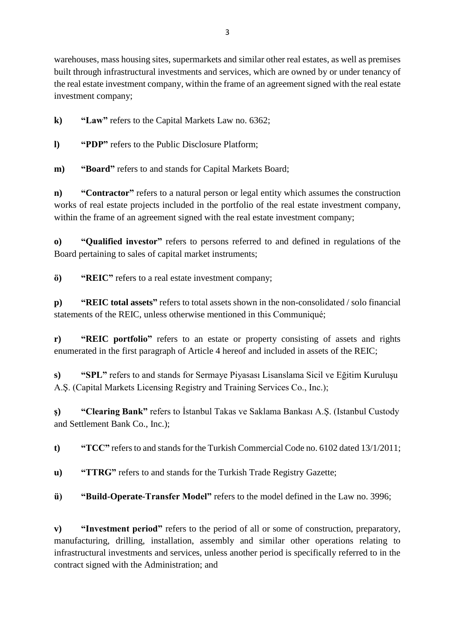warehouses, mass housing sites, supermarkets and similar other real estates, as well as premises built through infrastructural investments and services, which are owned by or under tenancy of the real estate investment company, within the frame of an agreement signed with the real estate investment company;

**k) "Law"** refers to the Capital Markets Law no. 6362;

**l) "PDP"** refers to the Public Disclosure Platform;

**m) "Board"** refers to and stands for Capital Markets Board;

**n) "Contractor"** refers to a natural person or legal entity which assumes the construction works of real estate projects included in the portfolio of the real estate investment company, within the frame of an agreement signed with the real estate investment company;

**o) "Qualified investor"** refers to persons referred to and defined in regulations of the Board pertaining to sales of capital market instruments;

**ö) "REIC"** refers to a real estate investment company;

**p) "REIC total assets"** refers to total assets shown in the non-consolidated / solo financial statements of the REIC, unless otherwise mentioned in this Communiqué;

**r) "REIC portfolio"** refers to an estate or property consisting of assets and rights enumerated in the first paragraph of Article 4 hereof and included in assets of the REIC;

**s) "SPL"** refers to and stands for Sermaye Piyasası Lisanslama Sicil ve Eğitim Kuruluşu A.Ş. (Capital Markets Licensing Registry and Training Services Co., Inc.);

**ş) "Clearing Bank"** refers to İstanbul Takas ve Saklama Bankası A.Ş. (Istanbul Custody and Settlement Bank Co., Inc.);

**t) "TCC"** refers to and stands for the Turkish Commercial Code no. 6102 dated 13/1/2011;

**u) "TTRG"** refers to and stands for the Turkish Trade Registry Gazette;

**ü) "Build-Operate-Transfer Model"** refers to the model defined in the Law no. 3996;

**v) "Investment period"** refers to the period of all or some of construction, preparatory, manufacturing, drilling, installation, assembly and similar other operations relating to infrastructural investments and services, unless another period is specifically referred to in the contract signed with the Administration; and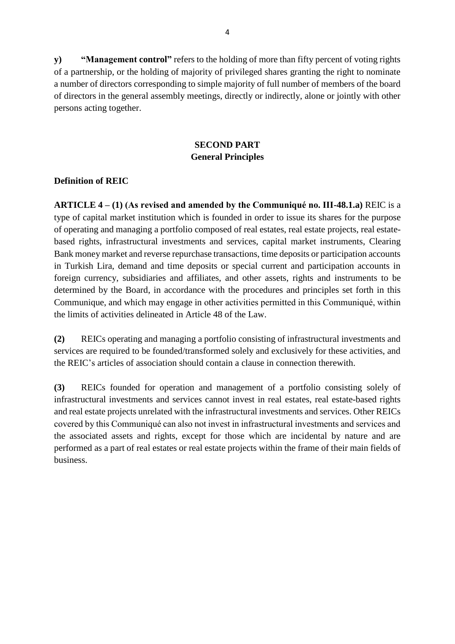**y) "Management control"** refers to the holding of more than fifty percent of voting rights of a partnership, or the holding of majority of privileged shares granting the right to nominate a number of directors corresponding to simple majority of full number of members of the board of directors in the general assembly meetings, directly or indirectly, alone or jointly with other persons acting together.

## **SECOND PART General Principles**

### **Definition of REIC**

**ARTICLE 4 – (1) (As revised and amended by the Communiqué no. III-48.1.a)** REIC is a type of capital market institution which is founded in order to issue its shares for the purpose of operating and managing a portfolio composed of real estates, real estate projects, real estatebased rights, infrastructural investments and services, capital market instruments, Clearing Bank money market and reverse repurchase transactions, time deposits or participation accounts in Turkish Lira, demand and time deposits or special current and participation accounts in foreign currency, subsidiaries and affiliates, and other assets, rights and instruments to be determined by the Board, in accordance with the procedures and principles set forth in this Communique, and which may engage in other activities permitted in this Communiqué, within the limits of activities delineated in Article 48 of the Law.

**(2)** REICs operating and managing a portfolio consisting of infrastructural investments and services are required to be founded/transformed solely and exclusively for these activities, and the REIC's articles of association should contain a clause in connection therewith.

**(3)** REICs founded for operation and management of a portfolio consisting solely of infrastructural investments and services cannot invest in real estates, real estate-based rights and real estate projects unrelated with the infrastructural investments and services. Other REICs covered by this Communiqué can also not invest in infrastructural investments and services and the associated assets and rights, except for those which are incidental by nature and are performed as a part of real estates or real estate projects within the frame of their main fields of business.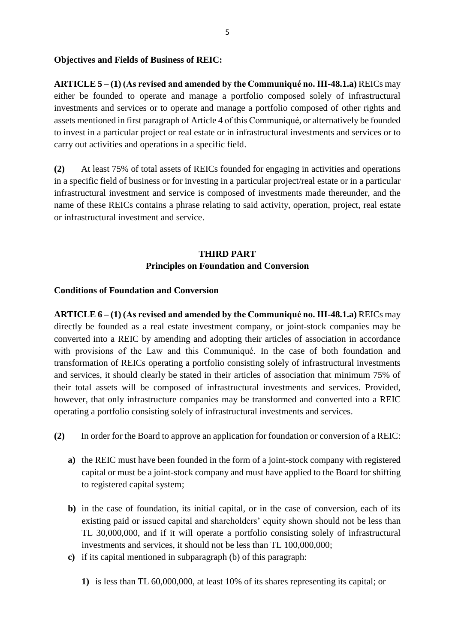#### **Objectives and Fields of Business of REIC:**

**ARTICLE 5 – (1) (As revised and amended by the Communiqué no. III-48.1.a)** REICs may either be founded to operate and manage a portfolio composed solely of infrastructural investments and services or to operate and manage a portfolio composed of other rights and assets mentioned in first paragraph of Article 4 of this Communiqué, or alternatively be founded to invest in a particular project or real estate or in infrastructural investments and services or to carry out activities and operations in a specific field.

**(2)** At least 75% of total assets of REICs founded for engaging in activities and operations in a specific field of business or for investing in a particular project/real estate or in a particular infrastructural investment and service is composed of investments made thereunder, and the name of these REICs contains a phrase relating to said activity, operation, project, real estate or infrastructural investment and service.

## **THIRD PART Principles on Foundation and Conversion**

#### **Conditions of Foundation and Conversion**

**ARTICLE 6 – (1) (As revised and amended by the Communiqué no. III-48.1.a)** REICs may directly be founded as a real estate investment company, or joint-stock companies may be converted into a REIC by amending and adopting their articles of association in accordance with provisions of the Law and this Communiqué. In the case of both foundation and transformation of REICs operating a portfolio consisting solely of infrastructural investments and services, it should clearly be stated in their articles of association that minimum 75% of their total assets will be composed of infrastructural investments and services. Provided, however, that only infrastructure companies may be transformed and converted into a REIC operating a portfolio consisting solely of infrastructural investments and services.

- **(2)** In order for the Board to approve an application for foundation or conversion of a REIC:
	- **a)** the REIC must have been founded in the form of a joint-stock company with registered capital or must be a joint-stock company and must have applied to the Board for shifting to registered capital system;
	- **b)** in the case of foundation, its initial capital, or in the case of conversion, each of its existing paid or issued capital and shareholders' equity shown should not be less than TL 30,000,000, and if it will operate a portfolio consisting solely of infrastructural investments and services, it should not be less than TL 100,000,000;
	- **c)** if its capital mentioned in subparagraph (b) of this paragraph:
		- **1)** is less than TL 60,000,000, at least 10% of its shares representing its capital; or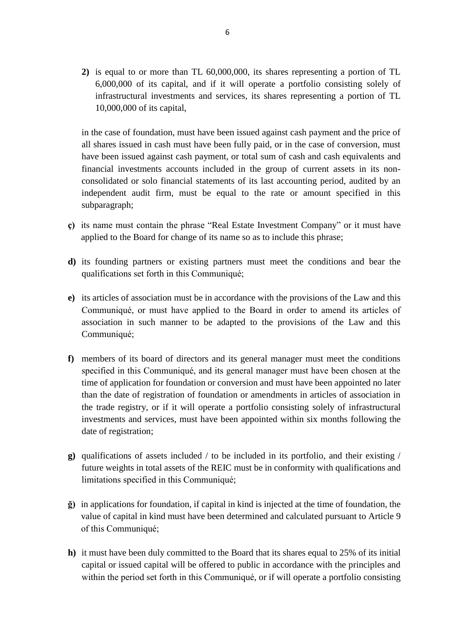**2)** is equal to or more than TL 60,000,000, its shares representing a portion of TL 6,000,000 of its capital, and if it will operate a portfolio consisting solely of infrastructural investments and services, its shares representing a portion of TL 10,000,000 of its capital,

in the case of foundation, must have been issued against cash payment and the price of all shares issued in cash must have been fully paid, or in the case of conversion, must have been issued against cash payment, or total sum of cash and cash equivalents and financial investments accounts included in the group of current assets in its nonconsolidated or solo financial statements of its last accounting period, audited by an independent audit firm, must be equal to the rate or amount specified in this subparagraph;

- **ç)** its name must contain the phrase "Real Estate Investment Company" or it must have applied to the Board for change of its name so as to include this phrase;
- **d)** its founding partners or existing partners must meet the conditions and bear the qualifications set forth in this Communiqué;
- **e)** its articles of association must be in accordance with the provisions of the Law and this Communiqué, or must have applied to the Board in order to amend its articles of association in such manner to be adapted to the provisions of the Law and this Communiqué;
- **f)** members of its board of directors and its general manager must meet the conditions specified in this Communiqué, and its general manager must have been chosen at the time of application for foundation or conversion and must have been appointed no later than the date of registration of foundation or amendments in articles of association in the trade registry, or if it will operate a portfolio consisting solely of infrastructural investments and services, must have been appointed within six months following the date of registration;
- **g)** qualifications of assets included / to be included in its portfolio, and their existing / future weights in total assets of the REIC must be in conformity with qualifications and limitations specified in this Communiqué;
- **ğ)** in applications for foundation, if capital in kind is injected at the time of foundation, the value of capital in kind must have been determined and calculated pursuant to Article 9 of this Communiqué;
- **h)** it must have been duly committed to the Board that its shares equal to 25% of its initial capital or issued capital will be offered to public in accordance with the principles and within the period set forth in this Communiqué, or if will operate a portfolio consisting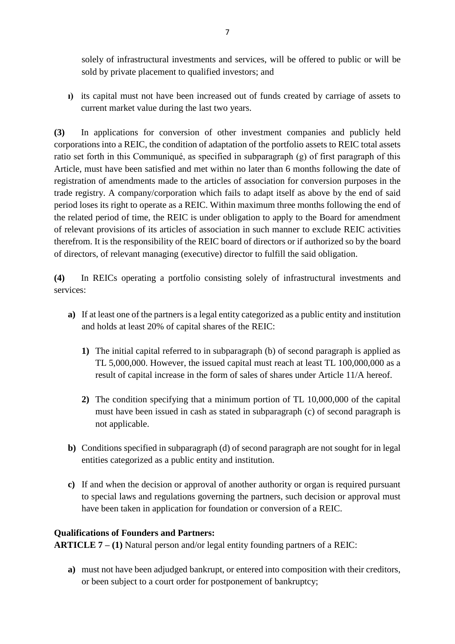solely of infrastructural investments and services, will be offered to public or will be sold by private placement to qualified investors; and

**ı)** its capital must not have been increased out of funds created by carriage of assets to current market value during the last two years.

**(3)** In applications for conversion of other investment companies and publicly held corporations into a REIC, the condition of adaptation of the portfolio assets to REIC total assets ratio set forth in this Communiqué, as specified in subparagraph (g) of first paragraph of this Article, must have been satisfied and met within no later than 6 months following the date of registration of amendments made to the articles of association for conversion purposes in the trade registry. A company/corporation which fails to adapt itself as above by the end of said period loses its right to operate as a REIC. Within maximum three months following the end of the related period of time, the REIC is under obligation to apply to the Board for amendment of relevant provisions of its articles of association in such manner to exclude REIC activities therefrom. It is the responsibility of the REIC board of directors or if authorized so by the board of directors, of relevant managing (executive) director to fulfill the said obligation.

**(4)** In REICs operating a portfolio consisting solely of infrastructural investments and services:

- **a)** If at least one of the partners is a legal entity categorized as a public entity and institution and holds at least 20% of capital shares of the REIC:
	- **1)** The initial capital referred to in subparagraph (b) of second paragraph is applied as TL 5,000,000. However, the issued capital must reach at least TL 100,000,000 as a result of capital increase in the form of sales of shares under Article 11/A hereof.
	- **2)** The condition specifying that a minimum portion of TL 10,000,000 of the capital must have been issued in cash as stated in subparagraph (c) of second paragraph is not applicable.
- **b**) Conditions specified in subparagraph (d) of second paragraph are not sought for in legal entities categorized as a public entity and institution.
- **c)** If and when the decision or approval of another authority or organ is required pursuant to special laws and regulations governing the partners, such decision or approval must have been taken in application for foundation or conversion of a REIC.

## **Qualifications of Founders and Partners:**

**ARTICLE 7 – (1)** Natural person and/or legal entity founding partners of a REIC:

**a)** must not have been adjudged bankrupt, or entered into composition with their creditors, or been subject to a court order for postponement of bankruptcy;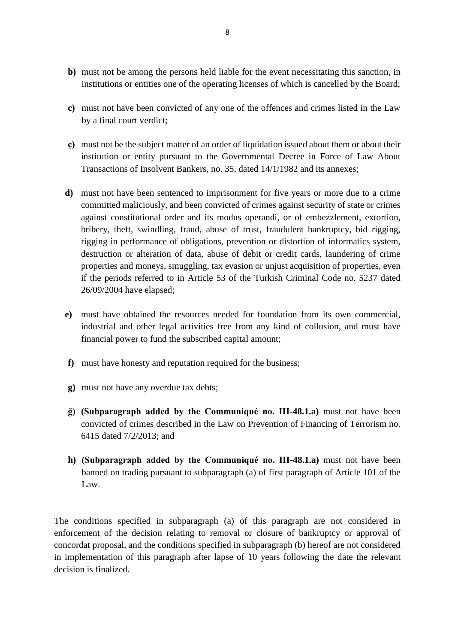- **b)** must not be among the persons held liable for the event necessitating this sanction, in institutions or entities one of the operating licenses of which is cancelled by the Board;
- **c)** must not have been convicted of any one of the offences and crimes listed in the Law by a final court verdict;
- **ç)** must not be the subject matter of an order of liquidation issued about them or about their institution or entity pursuant to the Governmental Decree in Force of Law About Transactions of Insolvent Bankers, no. 35, dated 14/1/1982 and its annexes;
- **d)** must not have been sentenced to imprisonment for five years or more due to a crime committed maliciously, and been convicted of crimes against security of state or crimes against constitutional order and its modus operandi, or of embezzlement, extortion, bribery, theft, swindling, fraud, abuse of trust, fraudulent bankruptcy, bid rigging, rigging in performance of obligations, prevention or distortion of informatics system, destruction or alteration of data, abuse of debit or credit cards, laundering of crime properties and moneys, smuggling, tax evasion or unjust acquisition of properties, even if the periods referred to in Article 53 of the Turkish Criminal Code no. 5237 dated 26/09/2004 have elapsed;
- **e)** must have obtained the resources needed for foundation from its own commercial, industrial and other legal activities free from any kind of collusion, and must have financial power to fund the subscribed capital amount;
- **f)** must have honesty and reputation required for the business;
- **g)** must not have any overdue tax debts;
- **ğ) (Subparagraph added by the Communiqué no. III-48.1.a)** must not have been convicted of crimes described in the Law on Prevention of Financing of Terrorism no. 6415 dated 7/2/2013; and
- **h) (Subparagraph added by the Communiqué no. III-48.1.a)** must not have been banned on trading pursuant to subparagraph (a) of first paragraph of Article 101 of the Law.

The conditions specified in subparagraph (a) of this paragraph are not considered in enforcement of the decision relating to removal or closure of bankruptcy or approval of concordat proposal, and the conditions specified in subparagraph (b) hereof are not considered in implementation of this paragraph after lapse of 10 years following the date the relevant decision is finalized.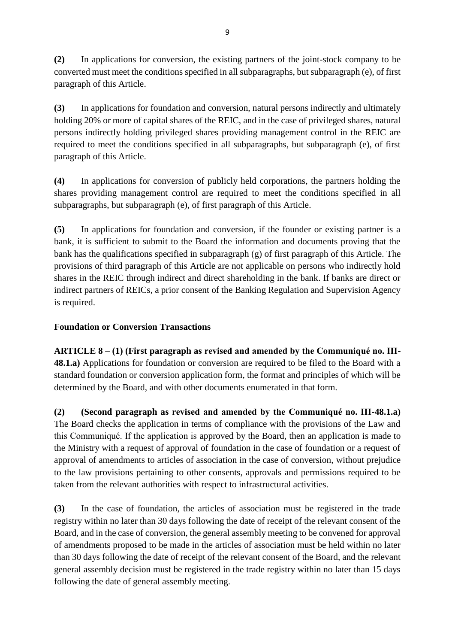**(2)** In applications for conversion, the existing partners of the joint-stock company to be converted must meet the conditions specified in all subparagraphs, but subparagraph (e), of first paragraph of this Article.

**(3)** In applications for foundation and conversion, natural persons indirectly and ultimately holding 20% or more of capital shares of the REIC, and in the case of privileged shares, natural persons indirectly holding privileged shares providing management control in the REIC are required to meet the conditions specified in all subparagraphs, but subparagraph (e), of first paragraph of this Article.

**(4)** In applications for conversion of publicly held corporations, the partners holding the shares providing management control are required to meet the conditions specified in all subparagraphs, but subparagraph (e), of first paragraph of this Article.

**(5)** In applications for foundation and conversion, if the founder or existing partner is a bank, it is sufficient to submit to the Board the information and documents proving that the bank has the qualifications specified in subparagraph (g) of first paragraph of this Article. The provisions of third paragraph of this Article are not applicable on persons who indirectly hold shares in the REIC through indirect and direct shareholding in the bank. If banks are direct or indirect partners of REICs, a prior consent of the Banking Regulation and Supervision Agency is required.

## **Foundation or Conversion Transactions**

**ARTICLE 8 – (1) (First paragraph as revised and amended by the Communiqué no. III-48.1.a)** Applications for foundation or conversion are required to be filed to the Board with a standard foundation or conversion application form, the format and principles of which will be determined by the Board, and with other documents enumerated in that form.

**(2) (Second paragraph as revised and amended by the Communiqué no. III-48.1.a)**  The Board checks the application in terms of compliance with the provisions of the Law and this Communiqué. If the application is approved by the Board, then an application is made to the Ministry with a request of approval of foundation in the case of foundation or a request of approval of amendments to articles of association in the case of conversion, without prejudice to the law provisions pertaining to other consents, approvals and permissions required to be taken from the relevant authorities with respect to infrastructural activities.

**(3)** In the case of foundation, the articles of association must be registered in the trade registry within no later than 30 days following the date of receipt of the relevant consent of the Board, and in the case of conversion, the general assembly meeting to be convened for approval of amendments proposed to be made in the articles of association must be held within no later than 30 days following the date of receipt of the relevant consent of the Board, and the relevant general assembly decision must be registered in the trade registry within no later than 15 days following the date of general assembly meeting.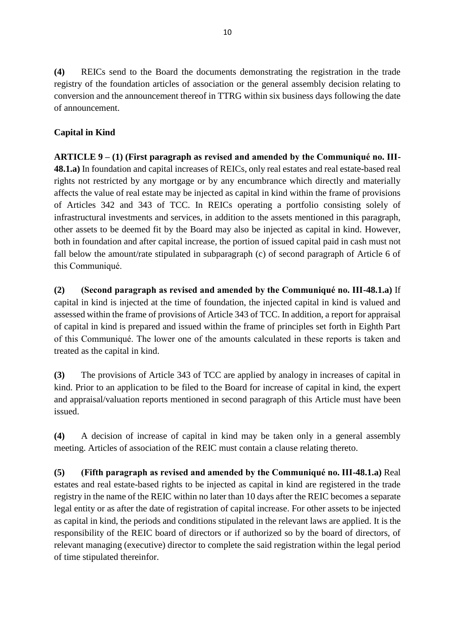**(4)** REICs send to the Board the documents demonstrating the registration in the trade registry of the foundation articles of association or the general assembly decision relating to conversion and the announcement thereof in TTRG within six business days following the date of announcement.

# **Capital in Kind**

**ARTICLE 9 – (1) (First paragraph as revised and amended by the Communiqué no. III-48.1.a)** In foundation and capital increases of REICs, only real estates and real estate-based real rights not restricted by any mortgage or by any encumbrance which directly and materially affects the value of real estate may be injected as capital in kind within the frame of provisions of Articles 342 and 343 of TCC. In REICs operating a portfolio consisting solely of infrastructural investments and services, in addition to the assets mentioned in this paragraph, other assets to be deemed fit by the Board may also be injected as capital in kind. However, both in foundation and after capital increase, the portion of issued capital paid in cash must not fall below the amount/rate stipulated in subparagraph (c) of second paragraph of Article 6 of this Communiqué.

**(2) (Second paragraph as revised and amended by the Communiqué no. III-48.1.a)** If capital in kind is injected at the time of foundation, the injected capital in kind is valued and assessed within the frame of provisions of Article 343 of TCC. In addition, a report for appraisal of capital in kind is prepared and issued within the frame of principles set forth in Eighth Part of this Communiqué. The lower one of the amounts calculated in these reports is taken and treated as the capital in kind.

**(3)** The provisions of Article 343 of TCC are applied by analogy in increases of capital in kind. Prior to an application to be filed to the Board for increase of capital in kind, the expert and appraisal/valuation reports mentioned in second paragraph of this Article must have been issued.

**(4)** A decision of increase of capital in kind may be taken only in a general assembly meeting. Articles of association of the REIC must contain a clause relating thereto.

**(5) (Fifth paragraph as revised and amended by the Communiqué no. III-48.1.a)** Real estates and real estate-based rights to be injected as capital in kind are registered in the trade registry in the name of the REIC within no later than 10 days after the REIC becomes a separate legal entity or as after the date of registration of capital increase. For other assets to be injected as capital in kind, the periods and conditions stipulated in the relevant laws are applied. It is the responsibility of the REIC board of directors or if authorized so by the board of directors, of relevant managing (executive) director to complete the said registration within the legal period of time stipulated thereinfor.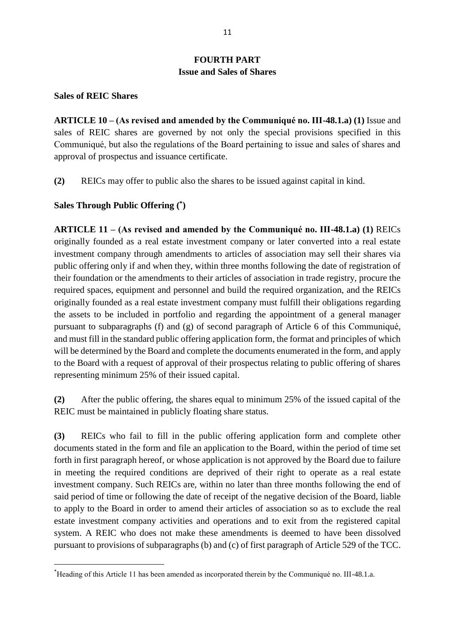## **FOURTH PART Issue and Sales of Shares**

#### **Sales of REIC Shares**

**.** 

**ARTICLE 10 – (As revised and amended by the Communiqué no. III-48.1.a) (1)** Issue and sales of REIC shares are governed by not only the special provisions specified in this Communiqué, but also the regulations of the Board pertaining to issue and sales of shares and approval of prospectus and issuance certificate.

**(2)** REICs may offer to public also the shares to be issued against capital in kind.

#### **Sales Through Public Offering ( \* )**

**ARTICLE 11 – (As revised and amended by the Communiqué no. III-48.1.a) (1)** REICs originally founded as a real estate investment company or later converted into a real estate investment company through amendments to articles of association may sell their shares via public offering only if and when they, within three months following the date of registration of their foundation or the amendments to their articles of association in trade registry, procure the required spaces, equipment and personnel and build the required organization, and the REICs originally founded as a real estate investment company must fulfill their obligations regarding the assets to be included in portfolio and regarding the appointment of a general manager pursuant to subparagraphs (f) and (g) of second paragraph of Article 6 of this Communiqué, and must fill in the standard public offering application form, the format and principles of which will be determined by the Board and complete the documents enumerated in the form, and apply to the Board with a request of approval of their prospectus relating to public offering of shares representing minimum 25% of their issued capital.

**(2)** After the public offering, the shares equal to minimum 25% of the issued capital of the REIC must be maintained in publicly floating share status.

**(3)** REICs who fail to fill in the public offering application form and complete other documents stated in the form and file an application to the Board, within the period of time set forth in first paragraph hereof, or whose application is not approved by the Board due to failure in meeting the required conditions are deprived of their right to operate as a real estate investment company. Such REICs are, within no later than three months following the end of said period of time or following the date of receipt of the negative decision of the Board, liable to apply to the Board in order to amend their articles of association so as to exclude the real estate investment company activities and operations and to exit from the registered capital system. A REIC who does not make these amendments is deemed to have been dissolved pursuant to provisions of subparagraphs (b) and (c) of first paragraph of Article 529 of the TCC.

<sup>\*</sup>Heading of this Article 11 has been amended as incorporated therein by the Communiqué no. III-48.1.a.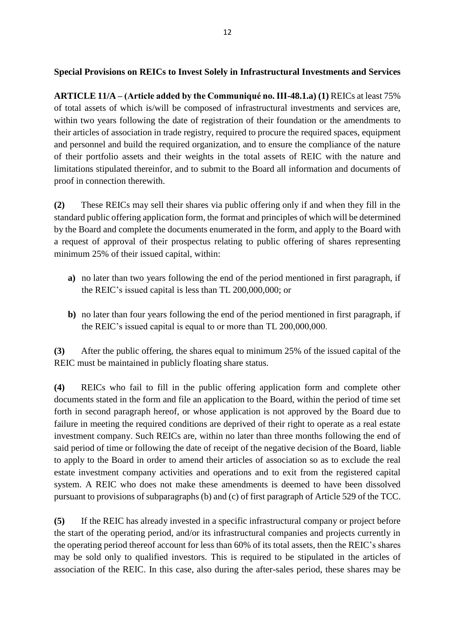### **Special Provisions on REICs to Invest Solely in Infrastructural Investments and Services**

**ARTICLE 11/A – (Article added by the Communiqué no. III-48.1.a) (1)** REICs at least 75% of total assets of which is/will be composed of infrastructural investments and services are, within two years following the date of registration of their foundation or the amendments to their articles of association in trade registry, required to procure the required spaces, equipment and personnel and build the required organization, and to ensure the compliance of the nature of their portfolio assets and their weights in the total assets of REIC with the nature and limitations stipulated thereinfor, and to submit to the Board all information and documents of proof in connection therewith.

**(2)** These REICs may sell their shares via public offering only if and when they fill in the standard public offering application form, the format and principles of which will be determined by the Board and complete the documents enumerated in the form, and apply to the Board with a request of approval of their prospectus relating to public offering of shares representing minimum 25% of their issued capital, within:

- **a)** no later than two years following the end of the period mentioned in first paragraph, if the REIC's issued capital is less than TL 200,000,000; or
- **b)** no later than four years following the end of the period mentioned in first paragraph, if the REIC's issued capital is equal to or more than TL 200,000,000.

**(3)** After the public offering, the shares equal to minimum 25% of the issued capital of the REIC must be maintained in publicly floating share status.

**(4)** REICs who fail to fill in the public offering application form and complete other documents stated in the form and file an application to the Board, within the period of time set forth in second paragraph hereof, or whose application is not approved by the Board due to failure in meeting the required conditions are deprived of their right to operate as a real estate investment company. Such REICs are, within no later than three months following the end of said period of time or following the date of receipt of the negative decision of the Board, liable to apply to the Board in order to amend their articles of association so as to exclude the real estate investment company activities and operations and to exit from the registered capital system. A REIC who does not make these amendments is deemed to have been dissolved pursuant to provisions of subparagraphs (b) and (c) of first paragraph of Article 529 of the TCC.

**(5)** If the REIC has already invested in a specific infrastructural company or project before the start of the operating period, and/or its infrastructural companies and projects currently in the operating period thereof account for less than 60% of its total assets, then the REIC's shares may be sold only to qualified investors. This is required to be stipulated in the articles of association of the REIC. In this case, also during the after-sales period, these shares may be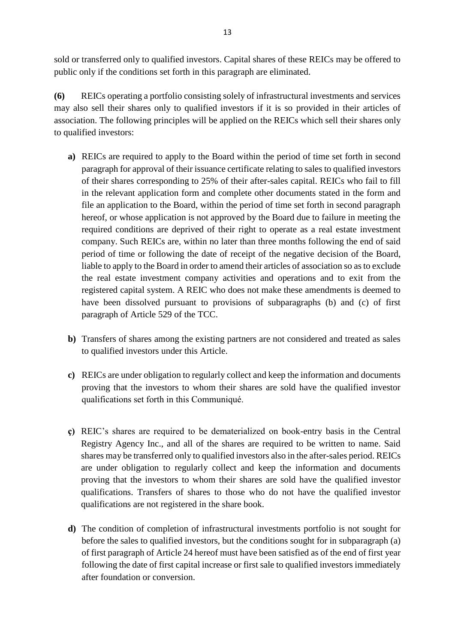sold or transferred only to qualified investors. Capital shares of these REICs may be offered to public only if the conditions set forth in this paragraph are eliminated.

**(6)** REICs operating a portfolio consisting solely of infrastructural investments and services may also sell their shares only to qualified investors if it is so provided in their articles of association. The following principles will be applied on the REICs which sell their shares only to qualified investors:

- **a)** REICs are required to apply to the Board within the period of time set forth in second paragraph for approval of their issuance certificate relating to sales to qualified investors of their shares corresponding to 25% of their after-sales capital. REICs who fail to fill in the relevant application form and complete other documents stated in the form and file an application to the Board, within the period of time set forth in second paragraph hereof, or whose application is not approved by the Board due to failure in meeting the required conditions are deprived of their right to operate as a real estate investment company. Such REICs are, within no later than three months following the end of said period of time or following the date of receipt of the negative decision of the Board, liable to apply to the Board in order to amend their articles of association so as to exclude the real estate investment company activities and operations and to exit from the registered capital system. A REIC who does not make these amendments is deemed to have been dissolved pursuant to provisions of subparagraphs (b) and (c) of first paragraph of Article 529 of the TCC.
- **b)** Transfers of shares among the existing partners are not considered and treated as sales to qualified investors under this Article.
- **c)** REICs are under obligation to regularly collect and keep the information and documents proving that the investors to whom their shares are sold have the qualified investor qualifications set forth in this Communiqué.
- **ç)** REIC's shares are required to be dematerialized on book-entry basis in the Central Registry Agency Inc., and all of the shares are required to be written to name. Said shares may be transferred only to qualified investors also in the after-sales period. REICs are under obligation to regularly collect and keep the information and documents proving that the investors to whom their shares are sold have the qualified investor qualifications. Transfers of shares to those who do not have the qualified investor qualifications are not registered in the share book.
- **d)** The condition of completion of infrastructural investments portfolio is not sought for before the sales to qualified investors, but the conditions sought for in subparagraph (a) of first paragraph of Article 24 hereof must have been satisfied as of the end of first year following the date of first capital increase or first sale to qualified investors immediately after foundation or conversion.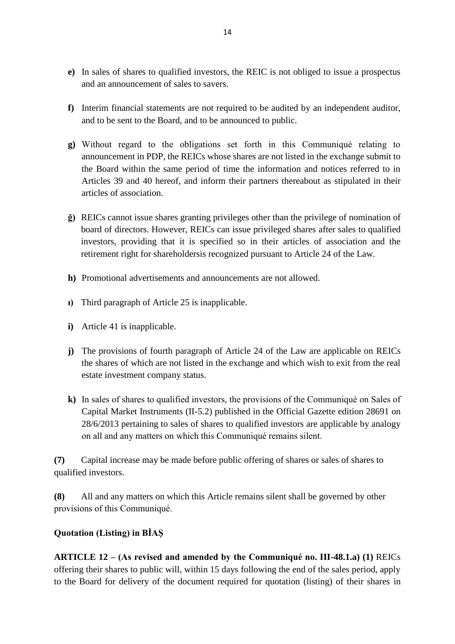- **e)** In sales of shares to qualified investors, the REIC is not obliged to issue a prospectus and an announcement of sales to savers.
- **f)** Interim financial statements are not required to be audited by an independent auditor, and to be sent to the Board, and to be announced to public.
- **g)** Without regard to the obligations set forth in this Communiqué relating to announcement in PDP, the REICs whose shares are not listed in the exchange submit to the Board within the same period of time the information and notices referred to in Articles 39 and 40 hereof, and inform their partners thereabout as stipulated in their articles of association.
- **ğ)** REICs cannot issue shares granting privileges other than the privilege of nomination of board of directors. However, REICs can issue privileged shares after sales to qualified investors, providing that it is specified so in their articles of association and the retirement right for shareholdersis recognized pursuant to Article 24 of the Law.
- **h)** Promotional advertisements and announcements are not allowed.
- **ı)** Third paragraph of Article 25 is inapplicable.
- **i)** Article 41 is inapplicable.
- **j)** The provisions of fourth paragraph of Article 24 of the Law are applicable on REICs the shares of which are not listed in the exchange and which wish to exit from the real estate investment company status.
- **k)** In sales of shares to qualified investors, the provisions of the Communiqué on Sales of Capital Market Instruments (II-5.2) published in the Official Gazette edition 28691 on 28/6/2013 pertaining to sales of shares to qualified investors are applicable by analogy on all and any matters on which this Communiqué remains silent.

**(7)** Capital increase may be made before public offering of shares or sales of shares to qualified investors.

**(8)** All and any matters on which this Article remains silent shall be governed by other provisions of this Communiqué.

## **Quotation (Listing) in BİAŞ**

**ARTICLE 12 – (As revised and amended by the Communiqué no. III-48.1.a) (1)** REICs offering their shares to public will, within 15 days following the end of the sales period, apply to the Board for delivery of the document required for quotation (listing) of their shares in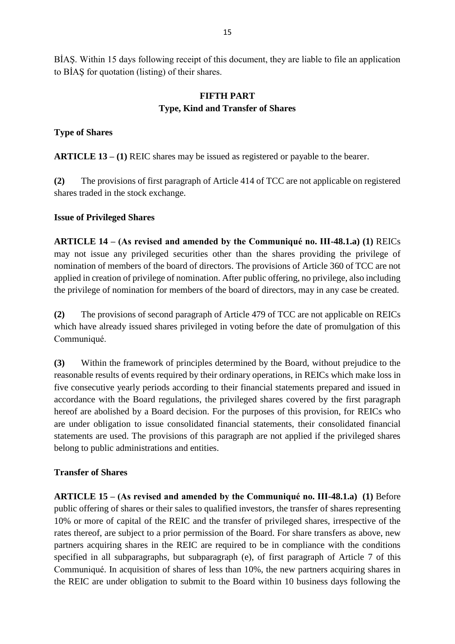BİAŞ. Within 15 days following receipt of this document, they are liable to file an application to BİAŞ for quotation (listing) of their shares.

### **FIFTH PART Type, Kind and Transfer of Shares**

### **Type of Shares**

**ARTICLE 13 – (1)** REIC shares may be issued as registered or payable to the bearer.

**(2)** The provisions of first paragraph of Article 414 of TCC are not applicable on registered shares traded in the stock exchange.

### **Issue of Privileged Shares**

**ARTICLE 14 – (As revised and amended by the Communiqué no. III-48.1.a) (1)** REICs may not issue any privileged securities other than the shares providing the privilege of nomination of members of the board of directors. The provisions of Article 360 of TCC are not applied in creation of privilege of nomination. After public offering, no privilege, also including the privilege of nomination for members of the board of directors, may in any case be created.

**(2)** The provisions of second paragraph of Article 479 of TCC are not applicable on REICs which have already issued shares privileged in voting before the date of promulgation of this Communiqué.

**(3)** Within the framework of principles determined by the Board, without prejudice to the reasonable results of events required by their ordinary operations, in REICs which make loss in five consecutive yearly periods according to their financial statements prepared and issued in accordance with the Board regulations, the privileged shares covered by the first paragraph hereof are abolished by a Board decision. For the purposes of this provision, for REICs who are under obligation to issue consolidated financial statements, their consolidated financial statements are used. The provisions of this paragraph are not applied if the privileged shares belong to public administrations and entities.

## **Transfer of Shares**

**ARTICLE 15 – (As revised and amended by the Communiqué no. III-48.1.a) (1)** Before public offering of shares or their sales to qualified investors, the transfer of shares representing 10% or more of capital of the REIC and the transfer of privileged shares, irrespective of the rates thereof, are subject to a prior permission of the Board. For share transfers as above, new partners acquiring shares in the REIC are required to be in compliance with the conditions specified in all subparagraphs, but subparagraph (e), of first paragraph of Article 7 of this Communiqué. In acquisition of shares of less than 10%, the new partners acquiring shares in the REIC are under obligation to submit to the Board within 10 business days following the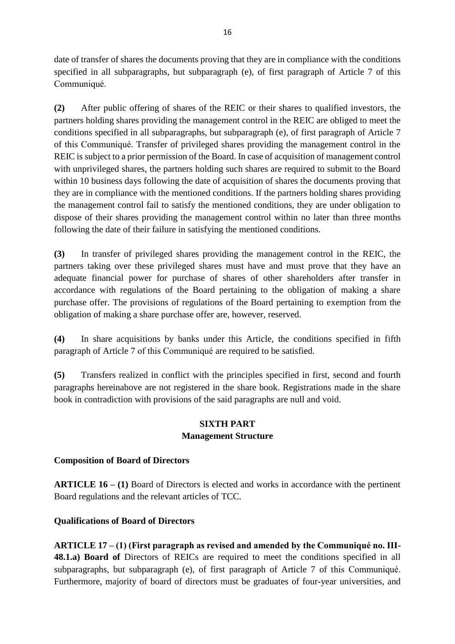date of transfer of shares the documents proving that they are in compliance with the conditions specified in all subparagraphs, but subparagraph (e), of first paragraph of Article 7 of this Communiqué.

**(2)** After public offering of shares of the REIC or their shares to qualified investors, the partners holding shares providing the management control in the REIC are obliged to meet the conditions specified in all subparagraphs, but subparagraph (e), of first paragraph of Article 7 of this Communiqué. Transfer of privileged shares providing the management control in the REIC is subject to a prior permission of the Board. In case of acquisition of management control with unprivileged shares, the partners holding such shares are required to submit to the Board within 10 business days following the date of acquisition of shares the documents proving that they are in compliance with the mentioned conditions. If the partners holding shares providing the management control fail to satisfy the mentioned conditions, they are under obligation to dispose of their shares providing the management control within no later than three months following the date of their failure in satisfying the mentioned conditions.

**(3)** In transfer of privileged shares providing the management control in the REIC, the partners taking over these privileged shares must have and must prove that they have an adequate financial power for purchase of shares of other shareholders after transfer in accordance with regulations of the Board pertaining to the obligation of making a share purchase offer. The provisions of regulations of the Board pertaining to exemption from the obligation of making a share purchase offer are, however, reserved.

**(4)** In share acquisitions by banks under this Article, the conditions specified in fifth paragraph of Article 7 of this Communiqué are required to be satisfied.

**(5)** Transfers realized in conflict with the principles specified in first, second and fourth paragraphs hereinabove are not registered in the share book. Registrations made in the share book in contradiction with provisions of the said paragraphs are null and void.

### **SIXTH PART Management Structure**

## **Composition of Board of Directors**

**ARTICLE 16 – (1)** Board of Directors is elected and works in accordance with the pertinent Board regulations and the relevant articles of TCC.

### **Qualifications of Board of Directors**

**ARTICLE 17 – (1) (First paragraph as revised and amended by the Communiqué no. III-48.1.a) Board of** Directors of REICs are required to meet the conditions specified in all subparagraphs, but subparagraph (e), of first paragraph of Article 7 of this Communiqué. Furthermore, majority of board of directors must be graduates of four-year universities, and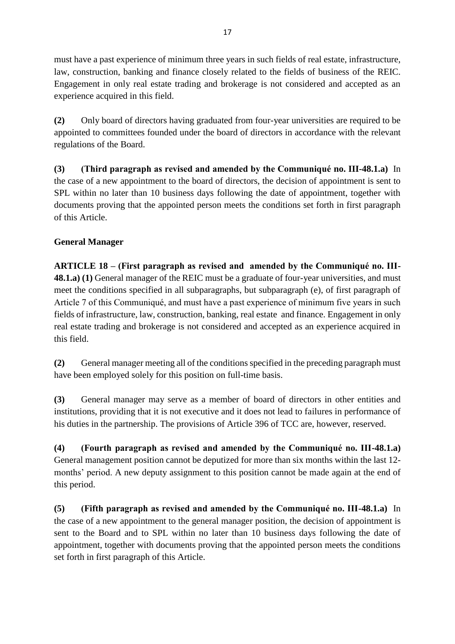must have a past experience of minimum three years in such fields of real estate, infrastructure, law, construction, banking and finance closely related to the fields of business of the REIC. Engagement in only real estate trading and brokerage is not considered and accepted as an experience acquired in this field.

**(2)** Only board of directors having graduated from four-year universities are required to be appointed to committees founded under the board of directors in accordance with the relevant regulations of the Board.

**(3) (Third paragraph as revised and amended by the Communiqué no. III-48.1.a)** In the case of a new appointment to the board of directors, the decision of appointment is sent to SPL within no later than 10 business days following the date of appointment, together with documents proving that the appointed person meets the conditions set forth in first paragraph of this Article.

# **General Manager**

**ARTICLE 18 – (First paragraph as revised and amended by the Communiqué no. III-48.1.a) (1)** General manager of the REIC must be a graduate of four-year universities, and must meet the conditions specified in all subparagraphs, but subparagraph (e), of first paragraph of Article 7 of this Communiqué, and must have a past experience of minimum five years in such fields of infrastructure, law, construction, banking, real estate and finance. Engagement in only real estate trading and brokerage is not considered and accepted as an experience acquired in this field.

**(2)** General manager meeting all of the conditions specified in the preceding paragraph must have been employed solely for this position on full-time basis.

**(3)** General manager may serve as a member of board of directors in other entities and institutions, providing that it is not executive and it does not lead to failures in performance of his duties in the partnership. The provisions of Article 396 of TCC are, however, reserved.

**(4) (Fourth paragraph as revised and amended by the Communiqué no. III-48.1.a)**  General management position cannot be deputized for more than six months within the last 12 months' period. A new deputy assignment to this position cannot be made again at the end of this period.

**(5) (Fifth paragraph as revised and amended by the Communiqué no. III-48.1.a)** In the case of a new appointment to the general manager position, the decision of appointment is sent to the Board and to SPL within no later than 10 business days following the date of appointment, together with documents proving that the appointed person meets the conditions set forth in first paragraph of this Article.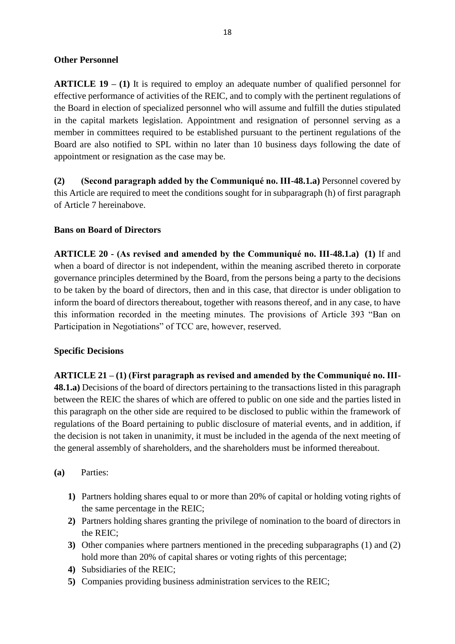#### **Other Personnel**

**ARTICLE 19 – (1)** It is required to employ an adequate number of qualified personnel for effective performance of activities of the REIC, and to comply with the pertinent regulations of the Board in election of specialized personnel who will assume and fulfill the duties stipulated in the capital markets legislation. Appointment and resignation of personnel serving as a member in committees required to be established pursuant to the pertinent regulations of the Board are also notified to SPL within no later than 10 business days following the date of appointment or resignation as the case may be.

**(2) (Second paragraph added by the Communiqué no. III-48.1.a)** Personnel covered by this Article are required to meet the conditions sought for in subparagraph (h) of first paragraph of Article 7 hereinabove.

### **Bans on Board of Directors**

**ARTICLE 20 - (As revised and amended by the Communiqué no. III-48.1.a) (1)** If and when a board of director is not independent, within the meaning ascribed thereto in corporate governance principles determined by the Board, from the persons being a party to the decisions to be taken by the board of directors, then and in this case, that director is under obligation to inform the board of directors thereabout, together with reasons thereof, and in any case, to have this information recorded in the meeting minutes. The provisions of Article 393 "Ban on Participation in Negotiations" of TCC are, however, reserved.

### **Specific Decisions**

**ARTICLE 21 – (1) (First paragraph as revised and amended by the Communiqué no. III-48.1.a)** Decisions of the board of directors pertaining to the transactions listed in this paragraph between the REIC the shares of which are offered to public on one side and the parties listed in this paragraph on the other side are required to be disclosed to public within the framework of regulations of the Board pertaining to public disclosure of material events, and in addition, if the decision is not taken in unanimity, it must be included in the agenda of the next meeting of the general assembly of shareholders, and the shareholders must be informed thereabout.

- **(a)** Parties:
	- **1)** Partners holding shares equal to or more than 20% of capital or holding voting rights of the same percentage in the REIC;
	- **2)** Partners holding shares granting the privilege of nomination to the board of directors in the REIC;
	- **3)** Other companies where partners mentioned in the preceding subparagraphs (1) and (2) hold more than 20% of capital shares or voting rights of this percentage;
	- **4)** Subsidiaries of the REIC;
	- **5)** Companies providing business administration services to the REIC;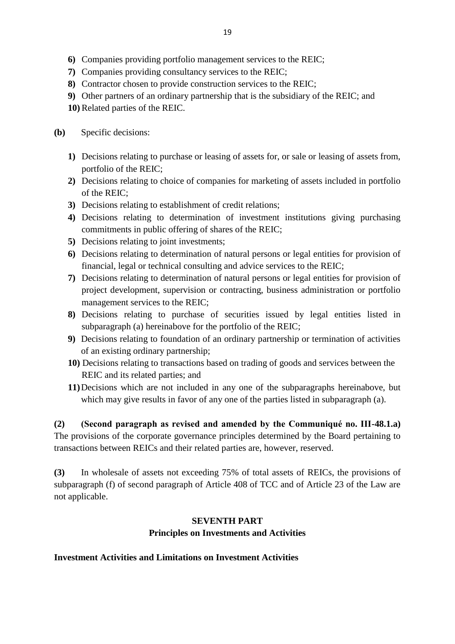- **6)** Companies providing portfolio management services to the REIC;
- **7)** Companies providing consultancy services to the REIC;
- **8)** Contractor chosen to provide construction services to the REIC;
- **9)** Other partners of an ordinary partnership that is the subsidiary of the REIC; and **10)**Related parties of the REIC.
- **(b)** Specific decisions:
	- **1)** Decisions relating to purchase or leasing of assets for, or sale or leasing of assets from, portfolio of the REIC;
	- **2)** Decisions relating to choice of companies for marketing of assets included in portfolio of the REIC;
	- **3)** Decisions relating to establishment of credit relations;
	- **4)** Decisions relating to determination of investment institutions giving purchasing commitments in public offering of shares of the REIC;
	- **5)** Decisions relating to joint investments;
	- **6)** Decisions relating to determination of natural persons or legal entities for provision of financial, legal or technical consulting and advice services to the REIC;
	- **7)** Decisions relating to determination of natural persons or legal entities for provision of project development, supervision or contracting, business administration or portfolio management services to the REIC;
	- **8)** Decisions relating to purchase of securities issued by legal entities listed in subparagraph (a) hereinabove for the portfolio of the REIC;
	- **9)** Decisions relating to foundation of an ordinary partnership or termination of activities of an existing ordinary partnership;
	- **10)** Decisions relating to transactions based on trading of goods and services between the REIC and its related parties; and
	- **11)**Decisions which are not included in any one of the subparagraphs hereinabove, but which may give results in favor of any one of the parties listed in subparagraph (a).

**(2) (Second paragraph as revised and amended by the Communiqué no. III-48.1.a)**  The provisions of the corporate governance principles determined by the Board pertaining to transactions between REICs and their related parties are, however, reserved.

**(3)** In wholesale of assets not exceeding 75% of total assets of REICs, the provisions of subparagraph (f) of second paragraph of Article 408 of TCC and of Article 23 of the Law are not applicable.

### **SEVENTH PART**

### **Principles on Investments and Activities**

### **Investment Activities and Limitations on Investment Activities**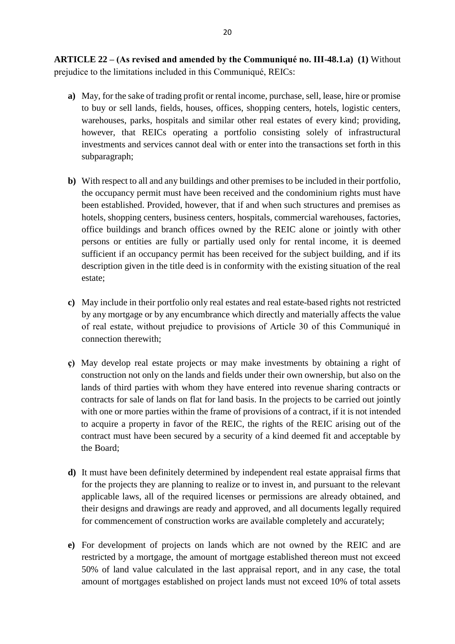**ARTICLE 22 – (As revised and amended by the Communiqué no. III-48.1.a) (1)** Without prejudice to the limitations included in this Communiqué, REICs:

- **a)** May, for the sake of trading profit or rental income, purchase, sell, lease, hire or promise to buy or sell lands, fields, houses, offices, shopping centers, hotels, logistic centers, warehouses, parks, hospitals and similar other real estates of every kind; providing, however, that REICs operating a portfolio consisting solely of infrastructural investments and services cannot deal with or enter into the transactions set forth in this subparagraph;
- **b)** With respect to all and any buildings and other premises to be included in their portfolio, the occupancy permit must have been received and the condominium rights must have been established. Provided, however, that if and when such structures and premises as hotels, shopping centers, business centers, hospitals, commercial warehouses, factories, office buildings and branch offices owned by the REIC alone or jointly with other persons or entities are fully or partially used only for rental income, it is deemed sufficient if an occupancy permit has been received for the subject building, and if its description given in the title deed is in conformity with the existing situation of the real estate;
- **c)** May include in their portfolio only real estates and real estate-based rights not restricted by any mortgage or by any encumbrance which directly and materially affects the value of real estate, without prejudice to provisions of Article 30 of this Communiqué in connection therewith;
- **ç)** May develop real estate projects or may make investments by obtaining a right of construction not only on the lands and fields under their own ownership, but also on the lands of third parties with whom they have entered into revenue sharing contracts or contracts for sale of lands on flat for land basis. In the projects to be carried out jointly with one or more parties within the frame of provisions of a contract, if it is not intended to acquire a property in favor of the REIC, the rights of the REIC arising out of the contract must have been secured by a security of a kind deemed fit and acceptable by the Board;
- **d)** It must have been definitely determined by independent real estate appraisal firms that for the projects they are planning to realize or to invest in, and pursuant to the relevant applicable laws, all of the required licenses or permissions are already obtained, and their designs and drawings are ready and approved, and all documents legally required for commencement of construction works are available completely and accurately;
- **e)** For development of projects on lands which are not owned by the REIC and are restricted by a mortgage, the amount of mortgage established thereon must not exceed 50% of land value calculated in the last appraisal report, and in any case, the total amount of mortgages established on project lands must not exceed 10% of total assets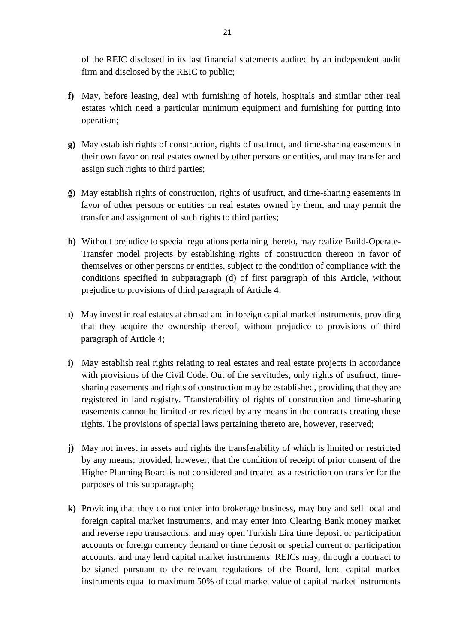of the REIC disclosed in its last financial statements audited by an independent audit firm and disclosed by the REIC to public;

- **f)** May, before leasing, deal with furnishing of hotels, hospitals and similar other real estates which need a particular minimum equipment and furnishing for putting into operation;
- **g)** May establish rights of construction, rights of usufruct, and time-sharing easements in their own favor on real estates owned by other persons or entities, and may transfer and assign such rights to third parties;
- **ğ)** May establish rights of construction, rights of usufruct, and time-sharing easements in favor of other persons or entities on real estates owned by them, and may permit the transfer and assignment of such rights to third parties;
- **h)** Without prejudice to special regulations pertaining thereto, may realize Build-Operate-Transfer model projects by establishing rights of construction thereon in favor of themselves or other persons or entities, subject to the condition of compliance with the conditions specified in subparagraph (d) of first paragraph of this Article, without prejudice to provisions of third paragraph of Article 4;
- **ı)** May invest in real estates at abroad and in foreign capital market instruments, providing that they acquire the ownership thereof, without prejudice to provisions of third paragraph of Article 4;
- **i**) May establish real rights relating to real estates and real estate projects in accordance with provisions of the Civil Code. Out of the servitudes, only rights of usufruct, timesharing easements and rights of construction may be established, providing that they are registered in land registry. Transferability of rights of construction and time-sharing easements cannot be limited or restricted by any means in the contracts creating these rights. The provisions of special laws pertaining thereto are, however, reserved;
- **j)** May not invest in assets and rights the transferability of which is limited or restricted by any means; provided, however, that the condition of receipt of prior consent of the Higher Planning Board is not considered and treated as a restriction on transfer for the purposes of this subparagraph;
- **k)** Providing that they do not enter into brokerage business, may buy and sell local and foreign capital market instruments, and may enter into Clearing Bank money market and reverse repo transactions, and may open Turkish Lira time deposit or participation accounts or foreign currency demand or time deposit or special current or participation accounts, and may lend capital market instruments. REICs may, through a contract to be signed pursuant to the relevant regulations of the Board, lend capital market instruments equal to maximum 50% of total market value of capital market instruments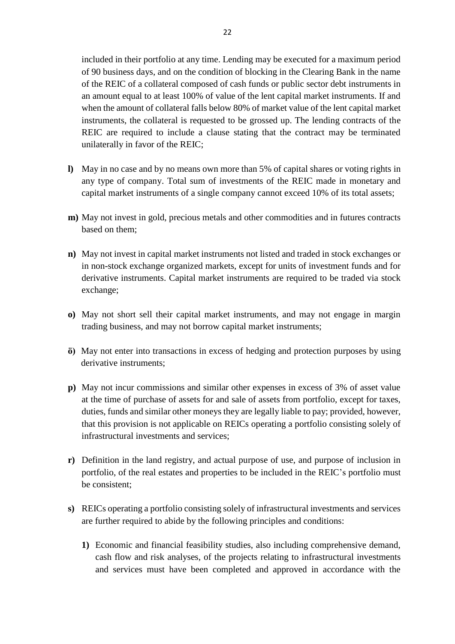included in their portfolio at any time. Lending may be executed for a maximum period of 90 business days, and on the condition of blocking in the Clearing Bank in the name of the REIC of a collateral composed of cash funds or public sector debt instruments in an amount equal to at least 100% of value of the lent capital market instruments. If and when the amount of collateral falls below 80% of market value of the lent capital market instruments, the collateral is requested to be grossed up. The lending contracts of the REIC are required to include a clause stating that the contract may be terminated unilaterally in favor of the REIC;

- **l)** May in no case and by no means own more than 5% of capital shares or voting rights in any type of company. Total sum of investments of the REIC made in monetary and capital market instruments of a single company cannot exceed 10% of its total assets;
- **m)** May not invest in gold, precious metals and other commodities and in futures contracts based on them;
- **n)** May not invest in capital market instruments not listed and traded in stock exchanges or in non-stock exchange organized markets, except for units of investment funds and for derivative instruments. Capital market instruments are required to be traded via stock exchange;
- **o)** May not short sell their capital market instruments, and may not engage in margin trading business, and may not borrow capital market instruments;
- **ö)** May not enter into transactions in excess of hedging and protection purposes by using derivative instruments;
- **p)** May not incur commissions and similar other expenses in excess of 3% of asset value at the time of purchase of assets for and sale of assets from portfolio, except for taxes, duties, funds and similar other moneys they are legally liable to pay; provided, however, that this provision is not applicable on REICs operating a portfolio consisting solely of infrastructural investments and services;
- **r)** Definition in the land registry, and actual purpose of use, and purpose of inclusion in portfolio, of the real estates and properties to be included in the REIC's portfolio must be consistent;
- **s)** REICs operating a portfolio consisting solely of infrastructural investments and services are further required to abide by the following principles and conditions:
	- **1)** Economic and financial feasibility studies, also including comprehensive demand, cash flow and risk analyses, of the projects relating to infrastructural investments and services must have been completed and approved in accordance with the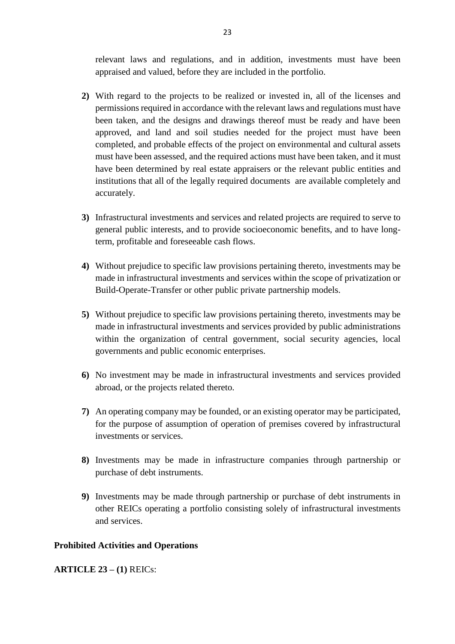relevant laws and regulations, and in addition, investments must have been appraised and valued, before they are included in the portfolio.

- **2)** With regard to the projects to be realized or invested in, all of the licenses and permissions required in accordance with the relevant laws and regulations must have been taken, and the designs and drawings thereof must be ready and have been approved, and land and soil studies needed for the project must have been completed, and probable effects of the project on environmental and cultural assets must have been assessed, and the required actions must have been taken, and it must have been determined by real estate appraisers or the relevant public entities and institutions that all of the legally required documents are available completely and accurately.
- **3)** Infrastructural investments and services and related projects are required to serve to general public interests, and to provide socioeconomic benefits, and to have longterm, profitable and foreseeable cash flows.
- **4)** Without prejudice to specific law provisions pertaining thereto, investments may be made in infrastructural investments and services within the scope of privatization or Build-Operate-Transfer or other public private partnership models.
- **5)** Without prejudice to specific law provisions pertaining thereto, investments may be made in infrastructural investments and services provided by public administrations within the organization of central government, social security agencies, local governments and public economic enterprises.
- **6)** No investment may be made in infrastructural investments and services provided abroad, or the projects related thereto.
- **7)** An operating company may be founded, or an existing operator may be participated, for the purpose of assumption of operation of premises covered by infrastructural investments or services.
- **8)** Investments may be made in infrastructure companies through partnership or purchase of debt instruments.
- **9)** Investments may be made through partnership or purchase of debt instruments in other REICs operating a portfolio consisting solely of infrastructural investments and services.

### **Prohibited Activities and Operations**

**ARTICLE 23 – (1)** REICs: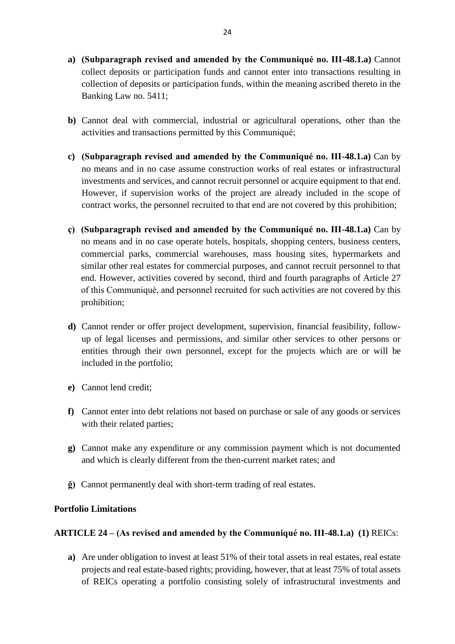- **a) (Subparagraph revised and amended by the Communiqué no. III-48.1.a)** Cannot collect deposits or participation funds and cannot enter into transactions resulting in collection of deposits or participation funds, within the meaning ascribed thereto in the Banking Law no. 5411;
- **b)** Cannot deal with commercial, industrial or agricultural operations, other than the activities and transactions permitted by this Communiqué;
- **c) (Subparagraph revised and amended by the Communiqué no. III-48.1.a)** Can by no means and in no case assume construction works of real estates or infrastructural investments and services, and cannot recruit personnel or acquire equipment to that end. However, if supervision works of the project are already included in the scope of contract works, the personnel recruited to that end are not covered by this prohibition;
- **ç) (Subparagraph revised and amended by the Communiqué no. III-48.1.a)** Can by no means and in no case operate hotels, hospitals, shopping centers, business centers, commercial parks, commercial warehouses, mass housing sites, hypermarkets and similar other real estates for commercial purposes, and cannot recruit personnel to that end. However, activities covered by second, third and fourth paragraphs of Article 27 of this Communiqué, and personnel recruited for such activities are not covered by this prohibition;
- **d)** Cannot render or offer project development, supervision, financial feasibility, followup of legal licenses and permissions, and similar other services to other persons or entities through their own personnel, except for the projects which are or will be included in the portfolio;
- **e)** Cannot lend credit;
- **f)** Cannot enter into debt relations not based on purchase or sale of any goods or services with their related parties;
- **g)** Cannot make any expenditure or any commission payment which is not documented and which is clearly different from the then-current market rates; and
- **ğ)** Cannot permanently deal with short-term trading of real estates.

### **Portfolio Limitations**

### **ARTICLE 24 – (As revised and amended by the Communiqué no. III-48.1.a) (1)** REICs:

**a)** Are under obligation to invest at least 51% of their total assets in real estates, real estate projects and real estate-based rights; providing, however, that at least 75% of total assets of REICs operating a portfolio consisting solely of infrastructural investments and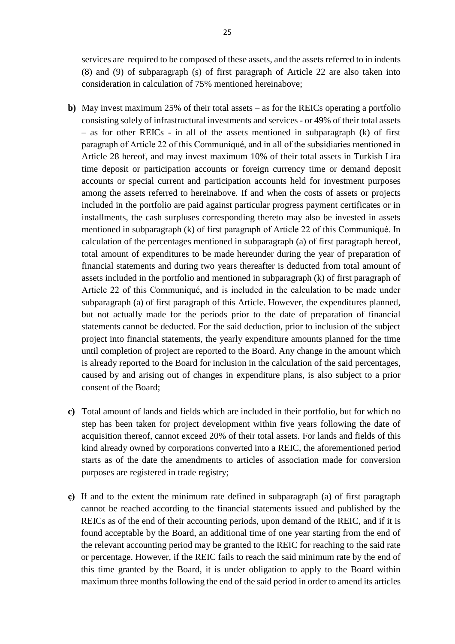services are required to be composed of these assets, and the assets referred to in indents (8) and (9) of subparagraph (s) of first paragraph of Article 22 are also taken into consideration in calculation of 75% mentioned hereinabove;

- **b)** May invest maximum 25% of their total assets as for the REICs operating a portfolio consisting solely of infrastructural investments and services - or 49% of their total assets – as for other REICs - in all of the assets mentioned in subparagraph (k) of first paragraph of Article 22 of this Communiqué, and in all of the subsidiaries mentioned in Article 28 hereof, and may invest maximum 10% of their total assets in Turkish Lira time deposit or participation accounts or foreign currency time or demand deposit accounts or special current and participation accounts held for investment purposes among the assets referred to hereinabove. If and when the costs of assets or projects included in the portfolio are paid against particular progress payment certificates or in installments, the cash surpluses corresponding thereto may also be invested in assets mentioned in subparagraph (k) of first paragraph of Article 22 of this Communiqué. In calculation of the percentages mentioned in subparagraph (a) of first paragraph hereof, total amount of expenditures to be made hereunder during the year of preparation of financial statements and during two years thereafter is deducted from total amount of assets included in the portfolio and mentioned in subparagraph (k) of first paragraph of Article 22 of this Communiqué, and is included in the calculation to be made under subparagraph (a) of first paragraph of this Article. However, the expenditures planned, but not actually made for the periods prior to the date of preparation of financial statements cannot be deducted. For the said deduction, prior to inclusion of the subject project into financial statements, the yearly expenditure amounts planned for the time until completion of project are reported to the Board. Any change in the amount which is already reported to the Board for inclusion in the calculation of the said percentages, caused by and arising out of changes in expenditure plans, is also subject to a prior consent of the Board;
- **c)** Total amount of lands and fields which are included in their portfolio, but for which no step has been taken for project development within five years following the date of acquisition thereof, cannot exceed 20% of their total assets. For lands and fields of this kind already owned by corporations converted into a REIC, the aforementioned period starts as of the date the amendments to articles of association made for conversion purposes are registered in trade registry;
- **ç)** If and to the extent the minimum rate defined in subparagraph (a) of first paragraph cannot be reached according to the financial statements issued and published by the REICs as of the end of their accounting periods, upon demand of the REIC, and if it is found acceptable by the Board, an additional time of one year starting from the end of the relevant accounting period may be granted to the REIC for reaching to the said rate or percentage. However, if the REIC fails to reach the said minimum rate by the end of this time granted by the Board, it is under obligation to apply to the Board within maximum three monthsfollowing the end of the said period in order to amend its articles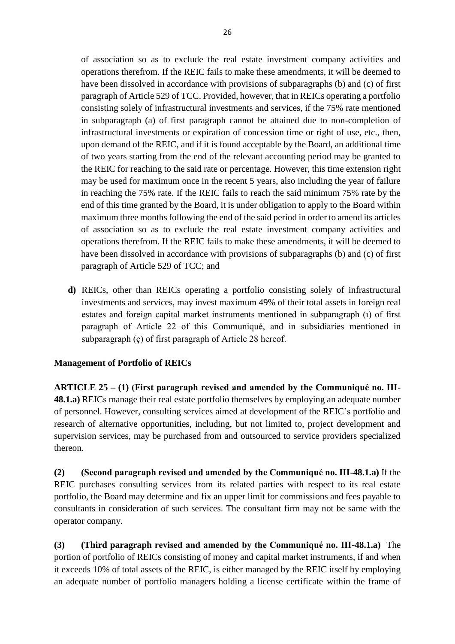of association so as to exclude the real estate investment company activities and operations therefrom. If the REIC fails to make these amendments, it will be deemed to have been dissolved in accordance with provisions of subparagraphs (b) and (c) of first paragraph of Article 529 of TCC. Provided, however, that in REICs operating a portfolio consisting solely of infrastructural investments and services, if the 75% rate mentioned in subparagraph (a) of first paragraph cannot be attained due to non-completion of infrastructural investments or expiration of concession time or right of use, etc., then, upon demand of the REIC, and if it is found acceptable by the Board, an additional time of two years starting from the end of the relevant accounting period may be granted to the REIC for reaching to the said rate or percentage. However, this time extension right may be used for maximum once in the recent 5 years, also including the year of failure in reaching the 75% rate. If the REIC fails to reach the said minimum 75% rate by the end of this time granted by the Board, it is under obligation to apply to the Board within maximum three months following the end of the said period in order to amend its articles of association so as to exclude the real estate investment company activities and operations therefrom. If the REIC fails to make these amendments, it will be deemed to have been dissolved in accordance with provisions of subparagraphs (b) and (c) of first paragraph of Article 529 of TCC; and

**d)** REICs, other than REICs operating a portfolio consisting solely of infrastructural investments and services, may invest maximum 49% of their total assets in foreign real estates and foreign capital market instruments mentioned in subparagraph (ı) of first paragraph of Article 22 of this Communiqué, and in subsidiaries mentioned in subparagraph (ç) of first paragraph of Article 28 hereof.

## **Management of Portfolio of REICs**

**ARTICLE 25 – (1) (First paragraph revised and amended by the Communiqué no. III-48.1.a)** REICs manage their real estate portfolio themselves by employing an adequate number of personnel. However, consulting services aimed at development of the REIC's portfolio and research of alternative opportunities, including, but not limited to, project development and supervision services, may be purchased from and outsourced to service providers specialized thereon.

**(2) (Second paragraph revised and amended by the Communiqué no. III-48.1.a)** If the REIC purchases consulting services from its related parties with respect to its real estate portfolio, the Board may determine and fix an upper limit for commissions and fees payable to consultants in consideration of such services. The consultant firm may not be same with the operator company.

**(3) (Third paragraph revised and amended by the Communiqué no. III-48.1.a)** The portion of portfolio of REICs consisting of money and capital market instruments, if and when it exceeds 10% of total assets of the REIC, is either managed by the REIC itself by employing an adequate number of portfolio managers holding a license certificate within the frame of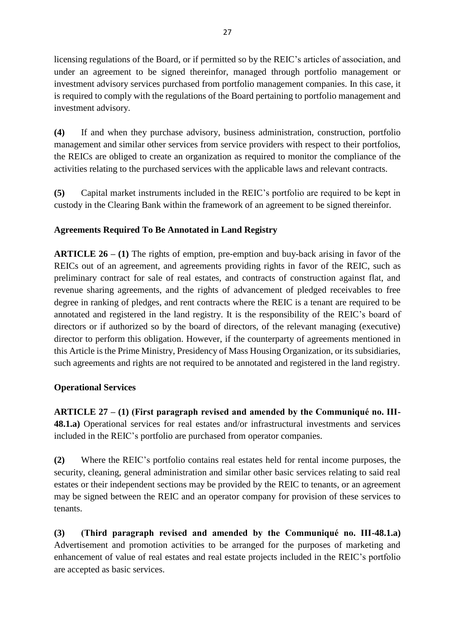licensing regulations of the Board, or if permitted so by the REIC's articles of association, and under an agreement to be signed thereinfor, managed through portfolio management or investment advisory services purchased from portfolio management companies. In this case, it is required to comply with the regulations of the Board pertaining to portfolio management and investment advisory.

**(4)** If and when they purchase advisory, business administration, construction, portfolio management and similar other services from service providers with respect to their portfolios, the REICs are obliged to create an organization as required to monitor the compliance of the activities relating to the purchased services with the applicable laws and relevant contracts.

**(5)** Capital market instruments included in the REIC's portfolio are required to be kept in custody in the Clearing Bank within the framework of an agreement to be signed thereinfor.

# **Agreements Required To Be Annotated in Land Registry**

**ARTICLE 26 – (1)** The rights of emption, pre-emption and buy-back arising in favor of the REICs out of an agreement, and agreements providing rights in favor of the REIC, such as preliminary contract for sale of real estates, and contracts of construction against flat, and revenue sharing agreements, and the rights of advancement of pledged receivables to free degree in ranking of pledges, and rent contracts where the REIC is a tenant are required to be annotated and registered in the land registry. It is the responsibility of the REIC's board of directors or if authorized so by the board of directors, of the relevant managing (executive) director to perform this obligation. However, if the counterparty of agreements mentioned in this Article is the Prime Ministry, Presidency of Mass Housing Organization, or its subsidiaries, such agreements and rights are not required to be annotated and registered in the land registry.

## **Operational Services**

**ARTICLE 27 – (1) (First paragraph revised and amended by the Communiqué no. III-48.1.a)** Operational services for real estates and/or infrastructural investments and services included in the REIC's portfolio are purchased from operator companies.

**(2)** Where the REIC's portfolio contains real estates held for rental income purposes, the security, cleaning, general administration and similar other basic services relating to said real estates or their independent sections may be provided by the REIC to tenants, or an agreement may be signed between the REIC and an operator company for provision of these services to tenants.

**(3) (Third paragraph revised and amended by the Communiqué no. III-48.1.a)**  Advertisement and promotion activities to be arranged for the purposes of marketing and enhancement of value of real estates and real estate projects included in the REIC's portfolio are accepted as basic services.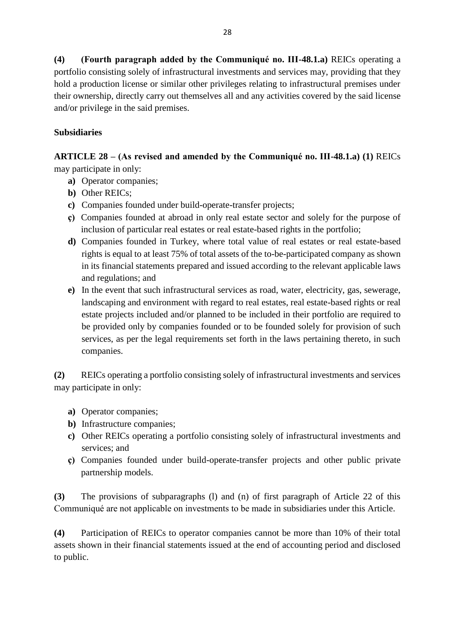**(4) (Fourth paragraph added by the Communiqué no. III-48.1.a)** REICs operating a portfolio consisting solely of infrastructural investments and services may, providing that they hold a production license or similar other privileges relating to infrastructural premises under their ownership, directly carry out themselves all and any activities covered by the said license and/or privilege in the said premises.

# **Subsidiaries**

**ARTICLE 28 – (As revised and amended by the Communiqué no. III-48.1.a) (1)** REICs may participate in only:

- **a)** Operator companies;
- **b)** Other REICs;
- **c)** Companies founded under build-operate-transfer projects;
- **ç)** Companies founded at abroad in only real estate sector and solely for the purpose of inclusion of particular real estates or real estate-based rights in the portfolio;
- **d**) Companies founded in Turkey, where total value of real estates or real estate-based rights is equal to at least 75% of total assets of the to-be-participated company as shown in its financial statements prepared and issued according to the relevant applicable laws and regulations; and
- **e)** In the event that such infrastructural services as road, water, electricity, gas, sewerage, landscaping and environment with regard to real estates, real estate-based rights or real estate projects included and/or planned to be included in their portfolio are required to be provided only by companies founded or to be founded solely for provision of such services, as per the legal requirements set forth in the laws pertaining thereto, in such companies.

**(2)** REICs operating a portfolio consisting solely of infrastructural investments and services may participate in only:

- **a)** Operator companies;
- **b)** Infrastructure companies;
- **c)** Other REICs operating a portfolio consisting solely of infrastructural investments and services: and
- **ç)** Companies founded under build-operate-transfer projects and other public private partnership models.

**(3)** The provisions of subparagraphs (l) and (n) of first paragraph of Article 22 of this Communiqué are not applicable on investments to be made in subsidiaries under this Article.

**(4)** Participation of REICs to operator companies cannot be more than 10% of their total assets shown in their financial statements issued at the end of accounting period and disclosed to public.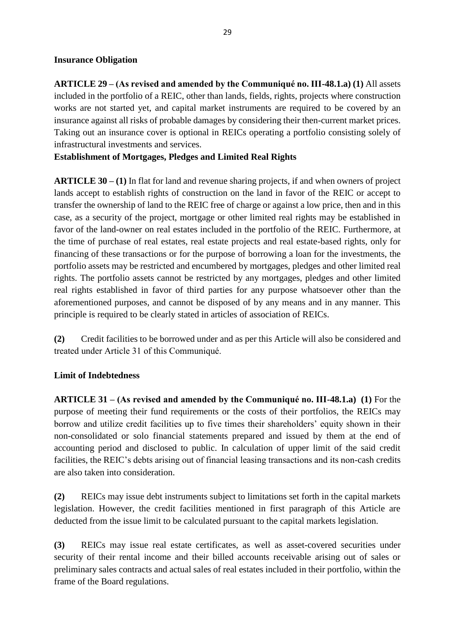#### **Insurance Obligation**

**ARTICLE 29 – (As revised and amended by the Communiqué no. III-48.1.a) (1)** All assets included in the portfolio of a REIC, other than lands, fields, rights, projects where construction works are not started yet, and capital market instruments are required to be covered by an insurance against all risks of probable damages by considering their then-current market prices. Taking out an insurance cover is optional in REICs operating a portfolio consisting solely of infrastructural investments and services.

**Establishment of Mortgages, Pledges and Limited Real Rights**

**ARTICLE 30 – (1)** In flat for land and revenue sharing projects, if and when owners of project lands accept to establish rights of construction on the land in favor of the REIC or accept to transfer the ownership of land to the REIC free of charge or against a low price, then and in this case, as a security of the project, mortgage or other limited real rights may be established in favor of the land-owner on real estates included in the portfolio of the REIC. Furthermore, at the time of purchase of real estates, real estate projects and real estate-based rights, only for financing of these transactions or for the purpose of borrowing a loan for the investments, the portfolio assets may be restricted and encumbered by mortgages, pledges and other limited real rights. The portfolio assets cannot be restricted by any mortgages, pledges and other limited real rights established in favor of third parties for any purpose whatsoever other than the aforementioned purposes, and cannot be disposed of by any means and in any manner. This principle is required to be clearly stated in articles of association of REICs.

**(2)** Credit facilities to be borrowed under and as per this Article will also be considered and treated under Article 31 of this Communiqué.

### **Limit of Indebtedness**

**ARTICLE 31 – (As revised and amended by the Communiqué no. III-48.1.a) (1)** For the purpose of meeting their fund requirements or the costs of their portfolios, the REICs may borrow and utilize credit facilities up to five times their shareholders' equity shown in their non-consolidated or solo financial statements prepared and issued by them at the end of accounting period and disclosed to public. In calculation of upper limit of the said credit facilities, the REIC's debts arising out of financial leasing transactions and its non-cash credits are also taken into consideration.

**(2)** REICs may issue debt instruments subject to limitations set forth in the capital markets legislation. However, the credit facilities mentioned in first paragraph of this Article are deducted from the issue limit to be calculated pursuant to the capital markets legislation.

**(3)** REICs may issue real estate certificates, as well as asset-covered securities under security of their rental income and their billed accounts receivable arising out of sales or preliminary sales contracts and actual sales of real estates included in their portfolio, within the frame of the Board regulations.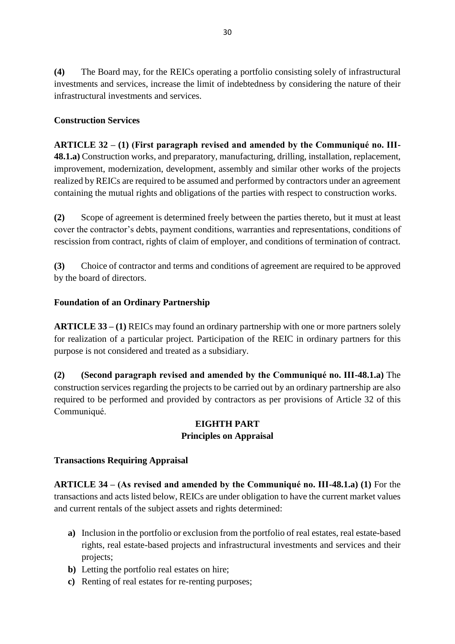**(4)** The Board may, for the REICs operating a portfolio consisting solely of infrastructural investments and services, increase the limit of indebtedness by considering the nature of their infrastructural investments and services.

### **Construction Services**

**ARTICLE 32 – (1) (First paragraph revised and amended by the Communiqué no. III-48.1.a)** Construction works, and preparatory, manufacturing, drilling, installation, replacement, improvement, modernization, development, assembly and similar other works of the projects realized by REICs are required to be assumed and performed by contractors under an agreement containing the mutual rights and obligations of the parties with respect to construction works.

**(2)** Scope of agreement is determined freely between the parties thereto, but it must at least cover the contractor's debts, payment conditions, warranties and representations, conditions of rescission from contract, rights of claim of employer, and conditions of termination of contract.

**(3)** Choice of contractor and terms and conditions of agreement are required to be approved by the board of directors.

### **Foundation of an Ordinary Partnership**

**ARTICLE 33 – (1)** REICs may found an ordinary partnership with one or more partners solely for realization of a particular project. Participation of the REIC in ordinary partners for this purpose is not considered and treated as a subsidiary.

**(2) (Second paragraph revised and amended by the Communiqué no. III-48.1.a)** The construction services regarding the projects to be carried out by an ordinary partnership are also required to be performed and provided by contractors as per provisions of Article 32 of this Communiqué.

## **EIGHTH PART Principles on Appraisal**

### **Transactions Requiring Appraisal**

**ARTICLE 34 – (As revised and amended by the Communiqué no. III-48.1.a) (1)** For the transactions and acts listed below, REICs are under obligation to have the current market values and current rentals of the subject assets and rights determined:

- **a)** Inclusion in the portfolio or exclusion from the portfolio of real estates, real estate-based rights, real estate-based projects and infrastructural investments and services and their projects;
- **b)** Letting the portfolio real estates on hire;
- **c)** Renting of real estates for re-renting purposes;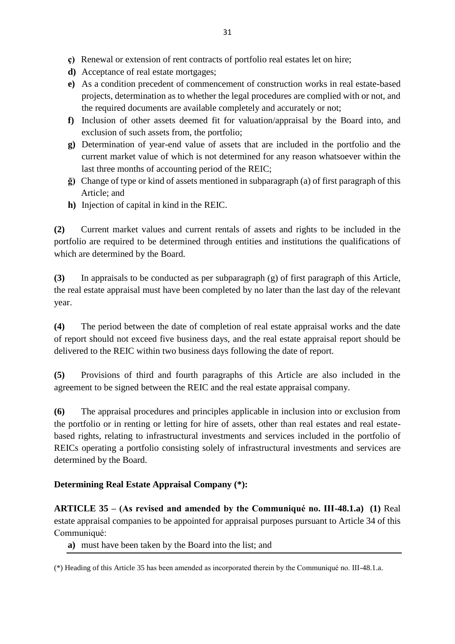- **ç)** Renewal or extension of rent contracts of portfolio real estates let on hire;
- **d)** Acceptance of real estate mortgages;
- **e)** As a condition precedent of commencement of construction works in real estate-based projects, determination as to whether the legal procedures are complied with or not, and the required documents are available completely and accurately or not;
- **f)** Inclusion of other assets deemed fit for valuation/appraisal by the Board into, and exclusion of such assets from, the portfolio;
- **g)** Determination of year-end value of assets that are included in the portfolio and the current market value of which is not determined for any reason whatsoever within the last three months of accounting period of the REIC;
- **ğ)** Change of type or kind of assets mentioned in subparagraph (a) of first paragraph of this Article; and
- **h)** Injection of capital in kind in the REIC.

**(2)** Current market values and current rentals of assets and rights to be included in the portfolio are required to be determined through entities and institutions the qualifications of which are determined by the Board.

**(3)** In appraisals to be conducted as per subparagraph (g) of first paragraph of this Article, the real estate appraisal must have been completed by no later than the last day of the relevant year.

**(4)** The period between the date of completion of real estate appraisal works and the date of report should not exceed five business days, and the real estate appraisal report should be delivered to the REIC within two business days following the date of report.

**(5)** Provisions of third and fourth paragraphs of this Article are also included in the agreement to be signed between the REIC and the real estate appraisal company.

**(6)** The appraisal procedures and principles applicable in inclusion into or exclusion from the portfolio or in renting or letting for hire of assets, other than real estates and real estatebased rights, relating to infrastructural investments and services included in the portfolio of REICs operating a portfolio consisting solely of infrastructural investments and services are determined by the Board.

### **Determining Real Estate Appraisal Company (\*):**

**ARTICLE 35 – (As revised and amended by the Communiqué no. III-48.1.a) (1)** Real estate appraisal companies to be appointed for appraisal purposes pursuant to Article 34 of this Communiqué:

**a)** must have been taken by the Board into the list; and

<sup>(\*)</sup> Heading of this Article 35 has been amended as incorporated therein by the Communiqué no. III-48.1.a.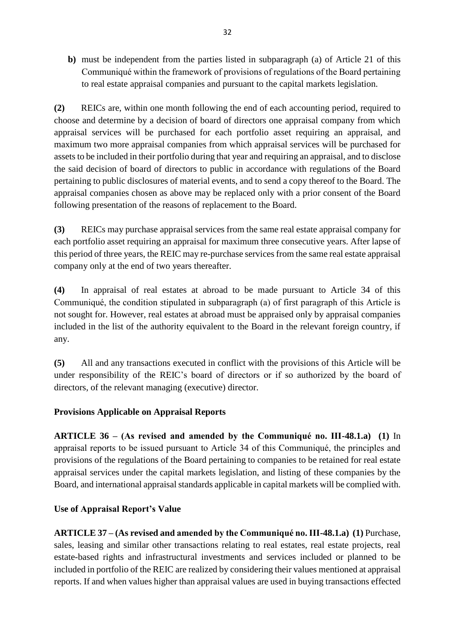**b)** must be independent from the parties listed in subparagraph (a) of Article 21 of this Communiqué within the framework of provisions of regulations of the Board pertaining to real estate appraisal companies and pursuant to the capital markets legislation.

**(2)** REICs are, within one month following the end of each accounting period, required to choose and determine by a decision of board of directors one appraisal company from which appraisal services will be purchased for each portfolio asset requiring an appraisal, and maximum two more appraisal companies from which appraisal services will be purchased for assets to be included in their portfolio during that year and requiring an appraisal, and to disclose the said decision of board of directors to public in accordance with regulations of the Board pertaining to public disclosures of material events, and to send a copy thereof to the Board. The appraisal companies chosen as above may be replaced only with a prior consent of the Board following presentation of the reasons of replacement to the Board.

**(3)** REICs may purchase appraisal services from the same real estate appraisal company for each portfolio asset requiring an appraisal for maximum three consecutive years. After lapse of this period of three years, the REIC may re-purchase services from the same real estate appraisal company only at the end of two years thereafter.

**(4)** In appraisal of real estates at abroad to be made pursuant to Article 34 of this Communiqué, the condition stipulated in subparagraph (a) of first paragraph of this Article is not sought for. However, real estates at abroad must be appraised only by appraisal companies included in the list of the authority equivalent to the Board in the relevant foreign country, if any.

**(5)** All and any transactions executed in conflict with the provisions of this Article will be under responsibility of the REIC's board of directors or if so authorized by the board of directors, of the relevant managing (executive) director.

## **Provisions Applicable on Appraisal Reports**

**ARTICLE 36 – (As revised and amended by the Communiqué no. III-48.1.a) (1)** In appraisal reports to be issued pursuant to Article 34 of this Communiqué, the principles and provisions of the regulations of the Board pertaining to companies to be retained for real estate appraisal services under the capital markets legislation, and listing of these companies by the Board, and international appraisal standards applicable in capital markets will be complied with.

## **Use of Appraisal Report's Value**

**ARTICLE 37 – (As revised and amended by the Communiqué no. III-48.1.a) (1)** Purchase, sales, leasing and similar other transactions relating to real estates, real estate projects, real estate-based rights and infrastructural investments and services included or planned to be included in portfolio of the REIC are realized by considering their values mentioned at appraisal reports. If and when values higher than appraisal values are used in buying transactions effected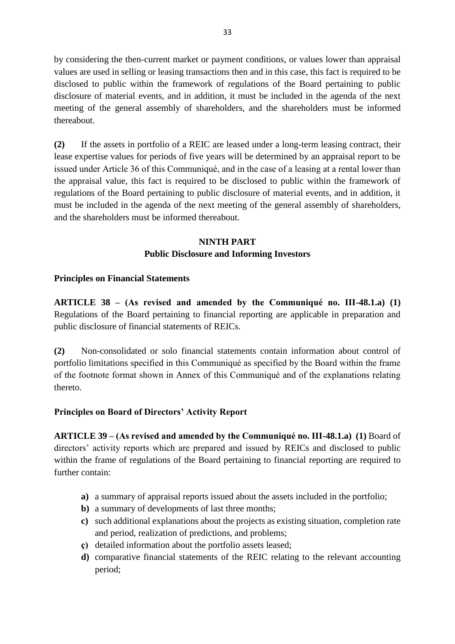by considering the then-current market or payment conditions, or values lower than appraisal values are used in selling or leasing transactions then and in this case, this fact is required to be disclosed to public within the framework of regulations of the Board pertaining to public disclosure of material events, and in addition, it must be included in the agenda of the next meeting of the general assembly of shareholders, and the shareholders must be informed thereabout.

**(2)** If the assets in portfolio of a REIC are leased under a long-term leasing contract, their lease expertise values for periods of five years will be determined by an appraisal report to be issued under Article 36 of this Communiqué, and in the case of a leasing at a rental lower than the appraisal value, this fact is required to be disclosed to public within the framework of regulations of the Board pertaining to public disclosure of material events, and in addition, it must be included in the agenda of the next meeting of the general assembly of shareholders, and the shareholders must be informed thereabout.

## **NINTH PART**

### **Public Disclosure and Informing Investors**

### **Principles on Financial Statements**

**ARTICLE 38 – (As revised and amended by the Communiqué no. III-48.1.a) (1)**  Regulations of the Board pertaining to financial reporting are applicable in preparation and public disclosure of financial statements of REICs.

**(2)** Non-consolidated or solo financial statements contain information about control of portfolio limitations specified in this Communiqué as specified by the Board within the frame of the footnote format shown in Annex of this Communiqué and of the explanations relating thereto.

### **Principles on Board of Directors' Activity Report**

**ARTICLE 39 – (As revised and amended by the Communiqué no. III-48.1.a) (1)** Board of directors' activity reports which are prepared and issued by REICs and disclosed to public within the frame of regulations of the Board pertaining to financial reporting are required to further contain:

- **a)** a summary of appraisal reports issued about the assets included in the portfolio;
- **b)** a summary of developments of last three months;
- **c)** such additional explanations about the projects as existing situation, completion rate and period, realization of predictions, and problems;
- **ç)** detailed information about the portfolio assets leased;
- **d)** comparative financial statements of the REIC relating to the relevant accounting period;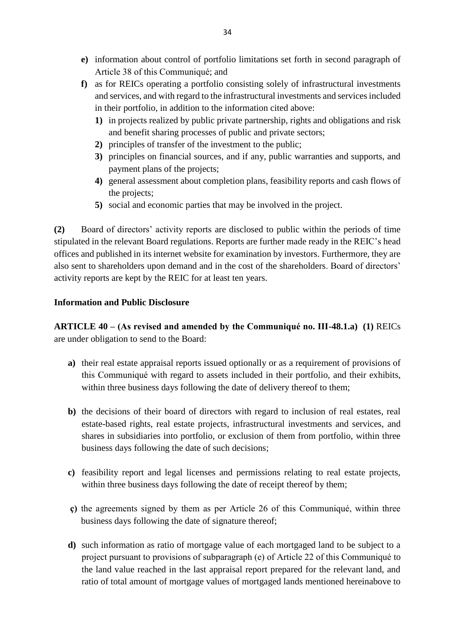- **e)** information about control of portfolio limitations set forth in second paragraph of Article 38 of this Communiqué; and
- **f)** as for REICs operating a portfolio consisting solely of infrastructural investments and services, and with regard to the infrastructural investments and services included in their portfolio, in addition to the information cited above:
	- **1)** in projects realized by public private partnership, rights and obligations and risk and benefit sharing processes of public and private sectors;
	- **2)** principles of transfer of the investment to the public;
	- **3)** principles on financial sources, and if any, public warranties and supports, and payment plans of the projects;
	- **4)** general assessment about completion plans, feasibility reports and cash flows of the projects;
	- **5)** social and economic parties that may be involved in the project.

**(2)** Board of directors' activity reports are disclosed to public within the periods of time stipulated in the relevant Board regulations. Reports are further made ready in the REIC's head offices and published in its internet website for examination by investors. Furthermore, they are also sent to shareholders upon demand and in the cost of the shareholders. Board of directors' activity reports are kept by the REIC for at least ten years.

### **Information and Public Disclosure**

**ARTICLE 40 – (As revised and amended by the Communiqué no. III-48.1.a) (1)** REICs are under obligation to send to the Board:

- **a)** their real estate appraisal reports issued optionally or as a requirement of provisions of this Communiqué with regard to assets included in their portfolio, and their exhibits, within three business days following the date of delivery thereof to them;
- **b)** the decisions of their board of directors with regard to inclusion of real estates, real estate-based rights, real estate projects, infrastructural investments and services, and shares in subsidiaries into portfolio, or exclusion of them from portfolio, within three business days following the date of such decisions;
- **c)** feasibility report and legal licenses and permissions relating to real estate projects, within three business days following the date of receipt thereof by them;
- **ç)** the agreements signed by them as per Article 26 of this Communiqué, within three business days following the date of signature thereof;
- **d)** such information as ratio of mortgage value of each mortgaged land to be subject to a project pursuant to provisions of subparagraph (e) of Article 22 of this Communiqué to the land value reached in the last appraisal report prepared for the relevant land, and ratio of total amount of mortgage values of mortgaged lands mentioned hereinabove to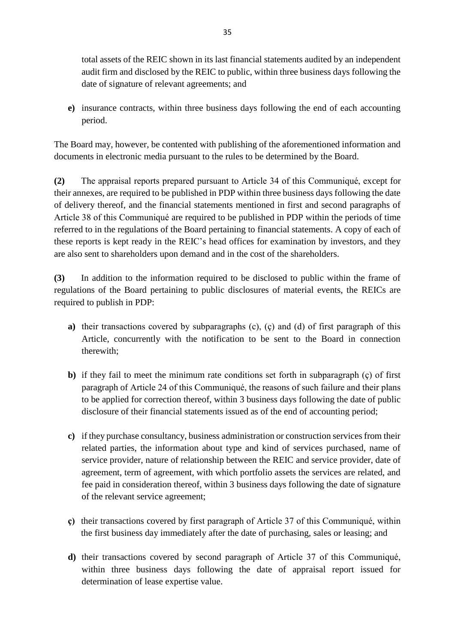total assets of the REIC shown in its last financial statements audited by an independent audit firm and disclosed by the REIC to public, within three business days following the date of signature of relevant agreements; and

**e)** insurance contracts, within three business days following the end of each accounting period.

The Board may, however, be contented with publishing of the aforementioned information and documents in electronic media pursuant to the rules to be determined by the Board.

**(2)** The appraisal reports prepared pursuant to Article 34 of this Communiqué, except for their annexes, are required to be published in PDP within three business days following the date of delivery thereof, and the financial statements mentioned in first and second paragraphs of Article 38 of this Communiqué are required to be published in PDP within the periods of time referred to in the regulations of the Board pertaining to financial statements. A copy of each of these reports is kept ready in the REIC's head offices for examination by investors, and they are also sent to shareholders upon demand and in the cost of the shareholders.

**(3)** In addition to the information required to be disclosed to public within the frame of regulations of the Board pertaining to public disclosures of material events, the REICs are required to publish in PDP:

- **a)** their transactions covered by subparagraphs (c), (ç) and (d) of first paragraph of this Article, concurrently with the notification to be sent to the Board in connection therewith;
- **b)** if they fail to meet the minimum rate conditions set forth in subparagraph (ç) of first paragraph of Article 24 of this Communiqué, the reasons of such failure and their plans to be applied for correction thereof, within 3 business days following the date of public disclosure of their financial statements issued as of the end of accounting period;
- **c)** if they purchase consultancy, business administration or construction services from their related parties, the information about type and kind of services purchased, name of service provider, nature of relationship between the REIC and service provider, date of agreement, term of agreement, with which portfolio assets the services are related, and fee paid in consideration thereof, within 3 business days following the date of signature of the relevant service agreement;
- **ç)** their transactions covered by first paragraph of Article 37 of this Communiqué, within the first business day immediately after the date of purchasing, sales or leasing; and
- **d)** their transactions covered by second paragraph of Article 37 of this Communiqué, within three business days following the date of appraisal report issued for determination of lease expertise value.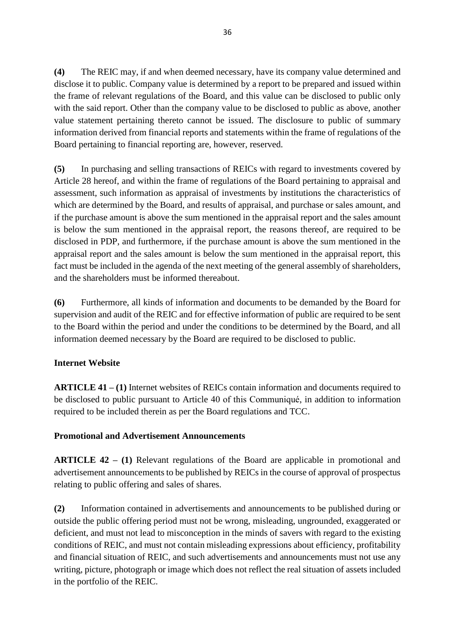**(4)** The REIC may, if and when deemed necessary, have its company value determined and disclose it to public. Company value is determined by a report to be prepared and issued within the frame of relevant regulations of the Board, and this value can be disclosed to public only with the said report. Other than the company value to be disclosed to public as above, another value statement pertaining thereto cannot be issued. The disclosure to public of summary information derived from financial reports and statements within the frame of regulations of the Board pertaining to financial reporting are, however, reserved.

**(5)** In purchasing and selling transactions of REICs with regard to investments covered by Article 28 hereof, and within the frame of regulations of the Board pertaining to appraisal and assessment, such information as appraisal of investments by institutions the characteristics of which are determined by the Board, and results of appraisal, and purchase or sales amount, and if the purchase amount is above the sum mentioned in the appraisal report and the sales amount is below the sum mentioned in the appraisal report, the reasons thereof, are required to be disclosed in PDP, and furthermore, if the purchase amount is above the sum mentioned in the appraisal report and the sales amount is below the sum mentioned in the appraisal report, this fact must be included in the agenda of the next meeting of the general assembly of shareholders, and the shareholders must be informed thereabout.

**(6)** Furthermore, all kinds of information and documents to be demanded by the Board for supervision and audit of the REIC and for effective information of public are required to be sent to the Board within the period and under the conditions to be determined by the Board, and all information deemed necessary by the Board are required to be disclosed to public.

## **Internet Website**

**ARTICLE 41 – (1)** Internet websites of REICs contain information and documents required to be disclosed to public pursuant to Article 40 of this Communiqué, in addition to information required to be included therein as per the Board regulations and TCC.

### **Promotional and Advertisement Announcements**

**ARTICLE 42 – (1)** Relevant regulations of the Board are applicable in promotional and advertisement announcements to be published by REICs in the course of approval of prospectus relating to public offering and sales of shares.

**(2)** Information contained in advertisements and announcements to be published during or outside the public offering period must not be wrong, misleading, ungrounded, exaggerated or deficient, and must not lead to misconception in the minds of savers with regard to the existing conditions of REIC, and must not contain misleading expressions about efficiency, profitability and financial situation of REIC, and such advertisements and announcements must not use any writing, picture, photograph or image which does not reflect the real situation of assets included in the portfolio of the REIC.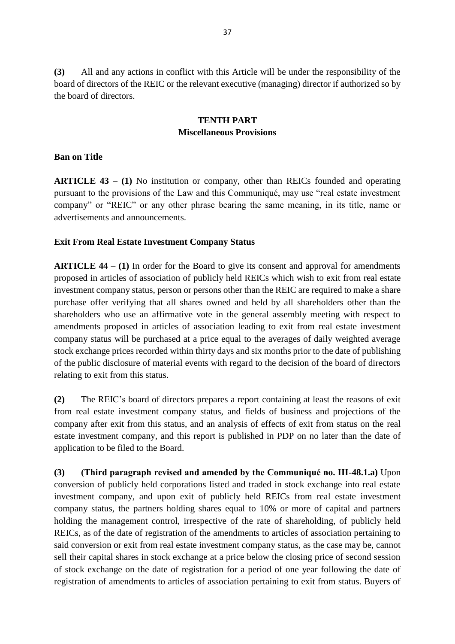**(3)** All and any actions in conflict with this Article will be under the responsibility of the board of directors of the REIC or the relevant executive (managing) director if authorized so by the board of directors.

### **TENTH PART Miscellaneous Provisions**

### **Ban on Title**

**ARTICLE 43 – (1)** No institution or company, other than REICs founded and operating pursuant to the provisions of the Law and this Communiqué, may use "real estate investment company" or "REIC" or any other phrase bearing the same meaning, in its title, name or advertisements and announcements.

#### **Exit From Real Estate Investment Company Status**

**ARTICLE 44 – (1)** In order for the Board to give its consent and approval for amendments proposed in articles of association of publicly held REICs which wish to exit from real estate investment company status, person or persons other than the REIC are required to make a share purchase offer verifying that all shares owned and held by all shareholders other than the shareholders who use an affirmative vote in the general assembly meeting with respect to amendments proposed in articles of association leading to exit from real estate investment company status will be purchased at a price equal to the averages of daily weighted average stock exchange prices recorded within thirty days and six months prior to the date of publishing of the public disclosure of material events with regard to the decision of the board of directors relating to exit from this status.

**(2)** The REIC's board of directors prepares a report containing at least the reasons of exit from real estate investment company status, and fields of business and projections of the company after exit from this status, and an analysis of effects of exit from status on the real estate investment company, and this report is published in PDP on no later than the date of application to be filed to the Board.

**(3) (Third paragraph revised and amended by the Communiqué no. III-48.1.a)** Upon conversion of publicly held corporations listed and traded in stock exchange into real estate investment company, and upon exit of publicly held REICs from real estate investment company status, the partners holding shares equal to 10% or more of capital and partners holding the management control, irrespective of the rate of shareholding, of publicly held REICs, as of the date of registration of the amendments to articles of association pertaining to said conversion or exit from real estate investment company status, as the case may be, cannot sell their capital shares in stock exchange at a price below the closing price of second session of stock exchange on the date of registration for a period of one year following the date of registration of amendments to articles of association pertaining to exit from status. Buyers of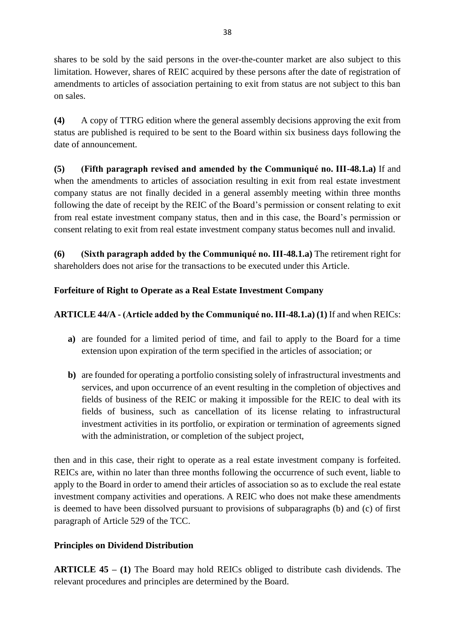shares to be sold by the said persons in the over-the-counter market are also subject to this limitation. However, shares of REIC acquired by these persons after the date of registration of amendments to articles of association pertaining to exit from status are not subject to this ban on sales.

**(4)** A copy of TTRG edition where the general assembly decisions approving the exit from status are published is required to be sent to the Board within six business days following the date of announcement.

**(5) (Fifth paragraph revised and amended by the Communiqué no. III-48.1.a)** If and when the amendments to articles of association resulting in exit from real estate investment company status are not finally decided in a general assembly meeting within three months following the date of receipt by the REIC of the Board's permission or consent relating to exit from real estate investment company status, then and in this case, the Board's permission or consent relating to exit from real estate investment company status becomes null and invalid.

**(6) (Sixth paragraph added by the Communiqué no. III-48.1.a)** The retirement right for shareholders does not arise for the transactions to be executed under this Article.

## **Forfeiture of Right to Operate as a Real Estate Investment Company**

## **ARTICLE 44/A - (Article added by the Communiqué no. III-48.1.a) (1)** If and when REICs:

- **a)** are founded for a limited period of time, and fail to apply to the Board for a time extension upon expiration of the term specified in the articles of association; or
- **b)** are founded for operating a portfolio consisting solely of infrastructural investments and services, and upon occurrence of an event resulting in the completion of objectives and fields of business of the REIC or making it impossible for the REIC to deal with its fields of business, such as cancellation of its license relating to infrastructural investment activities in its portfolio, or expiration or termination of agreements signed with the administration, or completion of the subject project,

then and in this case, their right to operate as a real estate investment company is forfeited. REICs are, within no later than three months following the occurrence of such event, liable to apply to the Board in order to amend their articles of association so as to exclude the real estate investment company activities and operations. A REIC who does not make these amendments is deemed to have been dissolved pursuant to provisions of subparagraphs (b) and (c) of first paragraph of Article 529 of the TCC.

## **Principles on Dividend Distribution**

**ARTICLE 45 – (1)** The Board may hold REICs obliged to distribute cash dividends. The relevant procedures and principles are determined by the Board.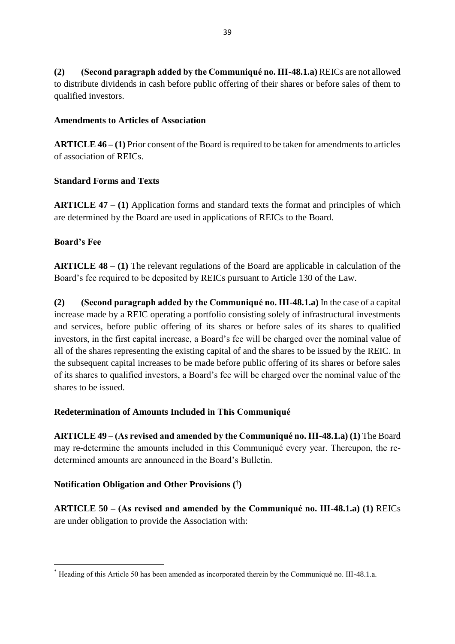**(2) (Second paragraph added by the Communiqué no. III-48.1.a)** REICs are not allowed to distribute dividends in cash before public offering of their shares or before sales of them to qualified investors.

### **Amendments to Articles of Association**

**ARTICLE 46 – (1)** Prior consent of the Board is required to be taken for amendments to articles of association of REICs.

#### **Standard Forms and Texts**

**ARTICLE 47 – (1)** Application forms and standard texts the format and principles of which are determined by the Board are used in applications of REICs to the Board.

### **Board's Fee**

**.** 

**ARTICLE 48 – (1)** The relevant regulations of the Board are applicable in calculation of the Board's fee required to be deposited by REICs pursuant to Article 130 of the Law.

**(2) (Second paragraph added by the Communiqué no. III-48.1.a)** In the case of a capital increase made by a REIC operating a portfolio consisting solely of infrastructural investments and services, before public offering of its shares or before sales of its shares to qualified investors, in the first capital increase, a Board's fee will be charged over the nominal value of all of the shares representing the existing capital of and the shares to be issued by the REIC. In the subsequent capital increases to be made before public offering of its shares or before sales of its shares to qualified investors, a Board's fee will be charged over the nominal value of the shares to be issued.

#### **Redetermination of Amounts Included in This Communiqué**

**ARTICLE 49 – (As revised and amended by the Communiqué no. III-48.1.a) (1)** The Board may re-determine the amounts included in this Communiqué every year. Thereupon, the redetermined amounts are announced in the Board's Bulletin.

#### **Notification Obligation and Other Provisions ( † )**

**ARTICLE 50 – (As revised and amended by the Communiqué no. III-48.1.a) (1)** REICs are under obligation to provide the Association with:

<sup>\*</sup> Heading of this Article 50 has been amended as incorporated therein by the Communiqué no. III-48.1.a.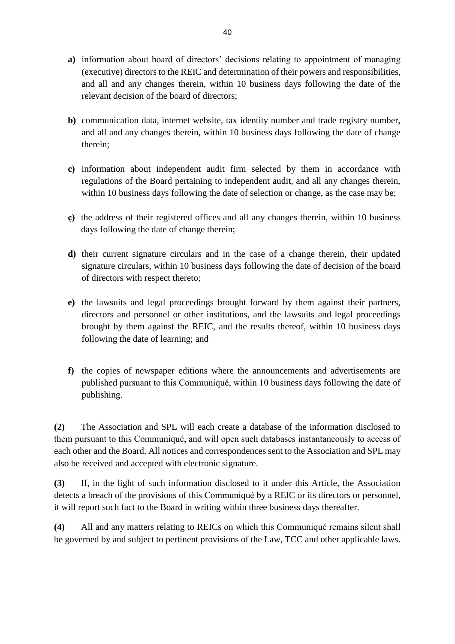- **a)** information about board of directors' decisions relating to appointment of managing (executive) directors to the REIC and determination of their powers and responsibilities, and all and any changes therein, within 10 business days following the date of the relevant decision of the board of directors;
- **b)** communication data, internet website, tax identity number and trade registry number, and all and any changes therein, within 10 business days following the date of change therein;
- **c)** information about independent audit firm selected by them in accordance with regulations of the Board pertaining to independent audit, and all any changes therein, within 10 business days following the date of selection or change, as the case may be;
- **ç)** the address of their registered offices and all any changes therein, within 10 business days following the date of change therein;
- **d)** their current signature circulars and in the case of a change therein, their updated signature circulars, within 10 business days following the date of decision of the board of directors with respect thereto;
- **e)** the lawsuits and legal proceedings brought forward by them against their partners, directors and personnel or other institutions, and the lawsuits and legal proceedings brought by them against the REIC, and the results thereof, within 10 business days following the date of learning; and
- **f)** the copies of newspaper editions where the announcements and advertisements are published pursuant to this Communiqué, within 10 business days following the date of publishing.

**(2)** The Association and SPL will each create a database of the information disclosed to them pursuant to this Communiqué, and will open such databases instantaneously to access of each other and the Board. All notices and correspondences sent to the Association and SPL may also be received and accepted with electronic signature.

**(3)** If, in the light of such information disclosed to it under this Article, the Association detects a breach of the provisions of this Communiqué by a REIC or its directors or personnel, it will report such fact to the Board in writing within three business days thereafter.

**(4)** All and any matters relating to REICs on which this Communiqué remains silent shall be governed by and subject to pertinent provisions of the Law, TCC and other applicable laws.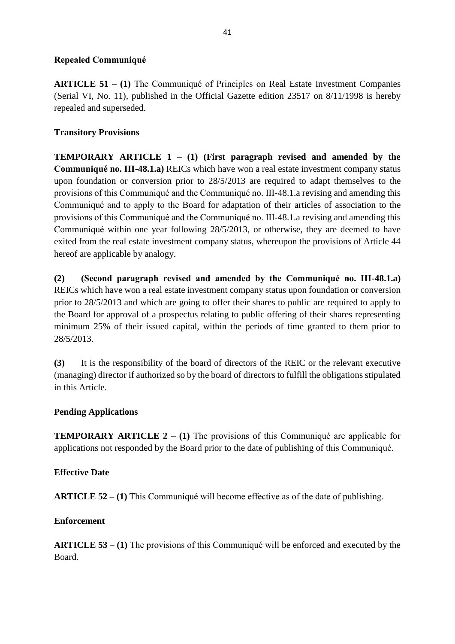#### **Repealed Communiqué**

**ARTICLE 51 – (1)** The Communiqué of Principles on Real Estate Investment Companies (Serial VI, No. 11), published in the Official Gazette edition 23517 on 8/11/1998 is hereby repealed and superseded.

#### **Transitory Provisions**

**TEMPORARY ARTICLE 1 – (1) (First paragraph revised and amended by the Communiqué no. III-48.1.a)** REICs which have won a real estate investment company status upon foundation or conversion prior to 28/5/2013 are required to adapt themselves to the provisions of this Communiqué and the Communiqué no. III-48.1.a revising and amending this Communiqué and to apply to the Board for adaptation of their articles of association to the provisions of this Communiqué and the Communiqué no. III-48.1.a revising and amending this Communiqué within one year following 28/5/2013, or otherwise, they are deemed to have exited from the real estate investment company status, whereupon the provisions of Article 44 hereof are applicable by analogy.

**(2) (Second paragraph revised and amended by the Communiqué no. III-48.1.a)**  REICs which have won a real estate investment company status upon foundation or conversion prior to 28/5/2013 and which are going to offer their shares to public are required to apply to the Board for approval of a prospectus relating to public offering of their shares representing minimum 25% of their issued capital, within the periods of time granted to them prior to 28/5/2013.

**(3)** It is the responsibility of the board of directors of the REIC or the relevant executive (managing) director if authorized so by the board of directors to fulfill the obligations stipulated in this Article.

#### **Pending Applications**

**TEMPORARY ARTICLE 2 – (1)** The provisions of this Communiqué are applicable for applications not responded by the Board prior to the date of publishing of this Communiqué.

#### **Effective Date**

**ARTICLE 52 – (1)** This Communiqué will become effective as of the date of publishing.

#### **Enforcement**

**ARTICLE 53 – (1)** The provisions of this Communiqué will be enforced and executed by the Board.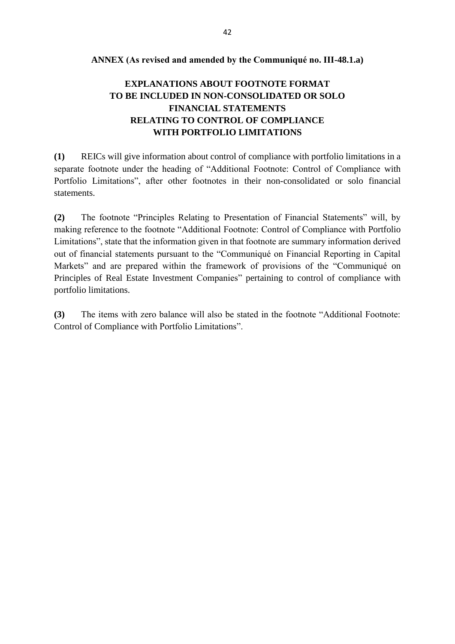#### **ANNEX (As revised and amended by the Communiqué no. III-48.1.a)**

# **EXPLANATIONS ABOUT FOOTNOTE FORMAT TO BE INCLUDED IN NON-CONSOLIDATED OR SOLO FINANCIAL STATEMENTS RELATING TO CONTROL OF COMPLIANCE WITH PORTFOLIO LIMITATIONS**

**(1)** REICs will give information about control of compliance with portfolio limitations in a separate footnote under the heading of "Additional Footnote: Control of Compliance with Portfolio Limitations", after other footnotes in their non-consolidated or solo financial statements.

**(2)** The footnote "Principles Relating to Presentation of Financial Statements" will, by making reference to the footnote "Additional Footnote: Control of Compliance with Portfolio Limitations", state that the information given in that footnote are summary information derived out of financial statements pursuant to the "Communiqué on Financial Reporting in Capital Markets" and are prepared within the framework of provisions of the "Communiqué on Principles of Real Estate Investment Companies" pertaining to control of compliance with portfolio limitations.

**(3)** The items with zero balance will also be stated in the footnote "Additional Footnote: Control of Compliance with Portfolio Limitations".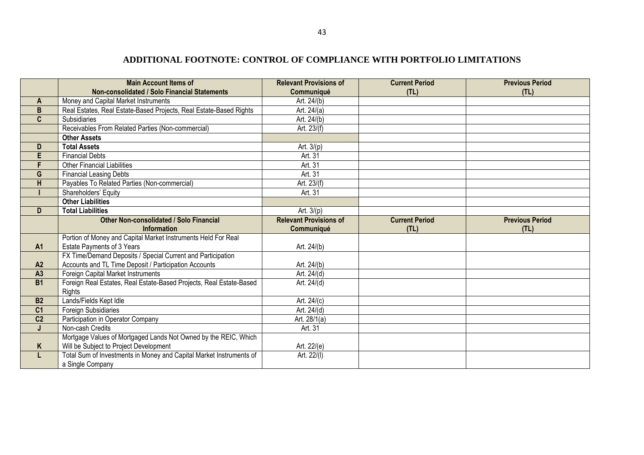## **ADDITIONAL FOOTNOTE: CONTROL OF COMPLIANCE WITH PORTFOLIO LIMITATIONS**

|                 | <b>Main Account Items of</b>                                                            | <b>Relevant Provisions of</b> | <b>Current Period</b> | <b>Previous Period</b> |
|-----------------|-----------------------------------------------------------------------------------------|-------------------------------|-----------------------|------------------------|
|                 | Non-consolidated / Solo Financial Statements                                            | Communiqué                    | (TL)                  | (TL)                   |
| A               | Money and Capital Market Instruments                                                    | Art. 24/(b)                   |                       |                        |
| $\mathsf B$     | Real Estates, Real Estate-Based Projects, Real Estate-Based Rights                      | Art. 24/(a)                   |                       |                        |
| C               | Subsidiaries                                                                            | Art. 24/(b)                   |                       |                        |
|                 | Receivables From Related Parties (Non-commercial)                                       | Art. 23/(f)                   |                       |                        |
|                 | <b>Other Assets</b>                                                                     |                               |                       |                        |
| D               | <b>Total Assets</b>                                                                     | Art. 3/(p)                    |                       |                        |
| E               | <b>Financial Debts</b>                                                                  | Art. 31                       |                       |                        |
| F.              | <b>Other Financial Liabilities</b>                                                      | Art. 31                       |                       |                        |
| G               | <b>Financial Leasing Debts</b>                                                          | Art. 31                       |                       |                        |
| H               | Payables To Related Parties (Non-commercial)                                            | Art. 23/(f)                   |                       |                        |
|                 | Shareholders' Equity                                                                    | Art. 31                       |                       |                        |
|                 | <b>Other Liabilities</b>                                                                |                               |                       |                        |
| D               | <b>Total Liabilities</b>                                                                | Art. $3/(p)$                  |                       |                        |
|                 | Other Non-consolidated / Solo Financial                                                 | <b>Relevant Provisions of</b> | <b>Current Period</b> | <b>Previous Period</b> |
|                 | <b>Information</b>                                                                      | Communiqué                    | (TL)                  | (TL)                   |
|                 | Portion of Money and Capital Market Instruments Held For Real                           |                               |                       |                        |
| <b>A1</b>       | <b>Estate Payments of 3 Years</b>                                                       | Art. 24/(b)                   |                       |                        |
|                 | FX Time/Demand Deposits / Special Current and Participation                             |                               |                       |                        |
| A2              | Accounts and TL Time Deposit / Participation Accounts                                   | Art. 24/(b)                   |                       |                        |
| A3              |                                                                                         |                               |                       |                        |
|                 | Foreign Capital Market Instruments                                                      | Art. 24/(d)                   |                       |                        |
| <b>B1</b>       | Foreign Real Estates, Real Estate-Based Projects, Real Estate-Based                     | Art. 24/(d)                   |                       |                        |
|                 | Rights                                                                                  |                               |                       |                        |
| <b>B2</b>       | Lands/Fields Kept Idle                                                                  | Art. 24/(c)                   |                       |                        |
| $\overline{C1}$ | Foreign Subsidiaries                                                                    | Art. 24/(d)                   |                       |                        |
| C <sub>2</sub>  | Participation in Operator Company                                                       | Art. 28/1(a)                  |                       |                        |
| J               | Non-cash Credits                                                                        | Art. 31                       |                       |                        |
|                 | Mortgage Values of Mortgaged Lands Not Owned by the REIC, Which                         |                               |                       |                        |
| K               | Will be Subject to Project Development                                                  | Art. 22/(e)                   |                       |                        |
| L.              | Total Sum of Investments in Money and Capital Market Instruments of<br>a Single Company | Art. 22/(I)                   |                       |                        |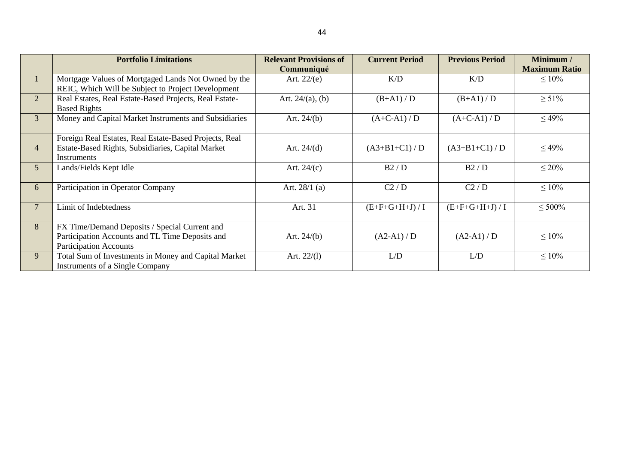|                | <b>Portfolio Limitations</b>                           | <b>Relevant Provisions of</b> | <b>Current Period</b> | <b>Previous Period</b> | Minimum /            |
|----------------|--------------------------------------------------------|-------------------------------|-----------------------|------------------------|----------------------|
|                |                                                        | Communiqué                    |                       |                        | <b>Maximum Ratio</b> |
| T              | Mortgage Values of Mortgaged Lands Not Owned by the    | Art. $22/(e)$                 | K/D                   | K/D                    | $\leq 10\%$          |
|                | REIC, Which Will be Subject to Project Development     |                               |                       |                        |                      |
| $\overline{2}$ | Real Estates, Real Estate-Based Projects, Real Estate- | Art. $24/(a)$ , (b)           | $(B+A1)/D$            | $(B+A1)/D$             | $\geq 51\%$          |
|                | <b>Based Rights</b>                                    |                               |                       |                        |                      |
| $\mathfrak{Z}$ | Money and Capital Market Instruments and Subsidiaries  | Art. $24/(b)$                 | $(A+C-A1)/D$          | $(A+C-A1)/D$           | $\leq 49\%$          |
|                |                                                        |                               |                       |                        |                      |
|                | Foreign Real Estates, Real Estate-Based Projects, Real |                               |                       |                        |                      |
| $\overline{4}$ | Estate-Based Rights, Subsidiaries, Capital Market      | Art. $24/(d)$                 | $(A3+B1+C1)/D$        | $(A3+B1+C1)/D$         | $\leq 49\%$          |
|                | Instruments                                            |                               |                       |                        |                      |
| 5 <sup>5</sup> | Lands/Fields Kept Idle                                 | Art. $24/(c)$                 | B2/D                  | B2/D                   | $\leq 20\%$          |
|                |                                                        |                               |                       |                        |                      |
| 6              | Participation in Operator Company                      | Art. $28/1$ (a)               | C2/D                  | C2/D                   | $\leq 10\%$          |
|                |                                                        |                               |                       |                        |                      |
| $\overline{7}$ | Limit of Indebtedness                                  | Art. 31                       | $(E+F+G+H+J)/I$       | $(E+F+G+H+J)/I$        | $\leq 500\%$         |
|                |                                                        |                               |                       |                        |                      |
| 8              | FX Time/Demand Deposits / Special Current and          |                               |                       |                        |                      |
|                | Participation Accounts and TL Time Deposits and        | Art. $24/(b)$                 | $(A2-A1)/D$           | $(A2-A1)/D$            | $\leq 10\%$          |
|                | <b>Participation Accounts</b>                          |                               |                       |                        |                      |
| 9              | Total Sum of Investments in Money and Capital Market   | Art. $22/(1)$                 | L/D                   | L/D                    | $\leq 10\%$          |
|                | Instruments of a Single Company                        |                               |                       |                        |                      |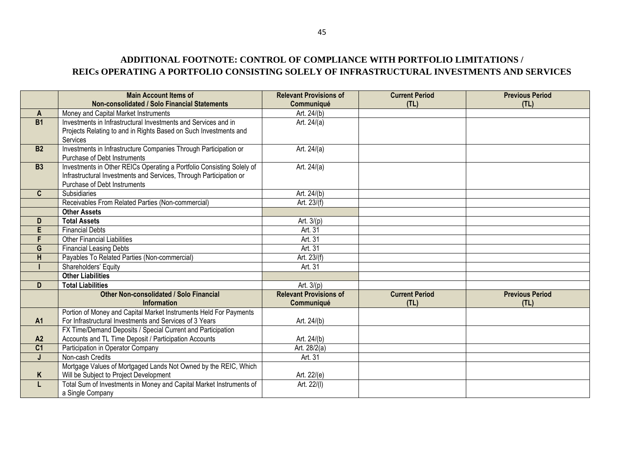# **ADDITIONAL FOOTNOTE: CONTROL OF COMPLIANCE WITH PORTFOLIO LIMITATIONS / REICs OPERATING A PORTFOLIO CONSISTING SOLELY OF INFRASTRUCTURAL INVESTMENTS AND SERVICES**

|                | <b>Main Account Items of</b>                                          | <b>Relevant Provisions of</b> | <b>Current Period</b> | <b>Previous Period</b> |
|----------------|-----------------------------------------------------------------------|-------------------------------|-----------------------|------------------------|
|                | Non-consolidated / Solo Financial Statements                          | Communiqué                    | (TL)                  | (TL)                   |
| A              | Money and Capital Market Instruments                                  | Art. 24/(b)                   |                       |                        |
| B1             | Investments in Infrastructural Investments and Services and in        | Art. $24/(a)$                 |                       |                        |
|                | Projects Relating to and in Rights Based on Such Investments and      |                               |                       |                        |
|                | Services                                                              |                               |                       |                        |
| <b>B2</b>      | Investments in Infrastructure Companies Through Participation or      | Art. 24/(a)                   |                       |                        |
|                | Purchase of Debt Instruments                                          |                               |                       |                        |
| <b>B3</b>      | Investments in Other REICs Operating a Portfolio Consisting Solely of | Art. 24/(a)                   |                       |                        |
|                | Infrastructural Investments and Services, Through Participation or    |                               |                       |                        |
|                | Purchase of Debt Instruments                                          |                               |                       |                        |
| $\mathbf{C}$   | <b>Subsidiaries</b>                                                   | Art. 24/(b)                   |                       |                        |
|                | Receivables From Related Parties (Non-commercial)                     | Art. 23/(f)                   |                       |                        |
|                | <b>Other Assets</b>                                                   |                               |                       |                        |
| D              | <b>Total Assets</b>                                                   | Art. $3/(p)$                  |                       |                        |
| E              | <b>Financial Debts</b>                                                | Art. 31                       |                       |                        |
| F              | <b>Other Financial Liabilities</b>                                    | Art. 31                       |                       |                        |
| G              | <b>Financial Leasing Debts</b>                                        | Art. 31                       |                       |                        |
| H              | Payables To Related Parties (Non-commercial)                          | Art. 23/(f)                   |                       |                        |
|                | Shareholders' Equity                                                  | Art. 31                       |                       |                        |
|                | <b>Other Liabilities</b>                                              |                               |                       |                        |
| D              | <b>Total Liabilities</b>                                              | Art. $3/(p)$                  |                       |                        |
|                | <b>Other Non-consolidated / Solo Financial</b>                        | <b>Relevant Provisions of</b> | <b>Current Period</b> | <b>Previous Period</b> |
|                | <b>Information</b>                                                    | Communiqué                    | (TL)                  | (TL)                   |
|                | Portion of Money and Capital Market Instruments Held For Payments     |                               |                       |                        |
| <b>A1</b>      | For Infrastructural Investments and Services of 3 Years               | Art. 24/(b)                   |                       |                        |
|                | FX Time/Demand Deposits / Special Current and Participation           |                               |                       |                        |
| A2             | Accounts and TL Time Deposit / Participation Accounts                 | Art. 24/(b)                   |                       |                        |
| C <sub>1</sub> | Participation in Operator Company                                     | Art. 28/2(a)                  |                       |                        |
| $\mathbf{J}$   | Non-cash Credits                                                      | Art. 31                       |                       |                        |
|                | Mortgage Values of Mortgaged Lands Not Owned by the REIC, Which       |                               |                       |                        |
| K              | Will be Subject to Project Development                                | Art. 22/(e)                   |                       |                        |
| L              | Total Sum of Investments in Money and Capital Market Instruments of   | Art. 22/(I)                   |                       |                        |
|                | a Single Company                                                      |                               |                       |                        |